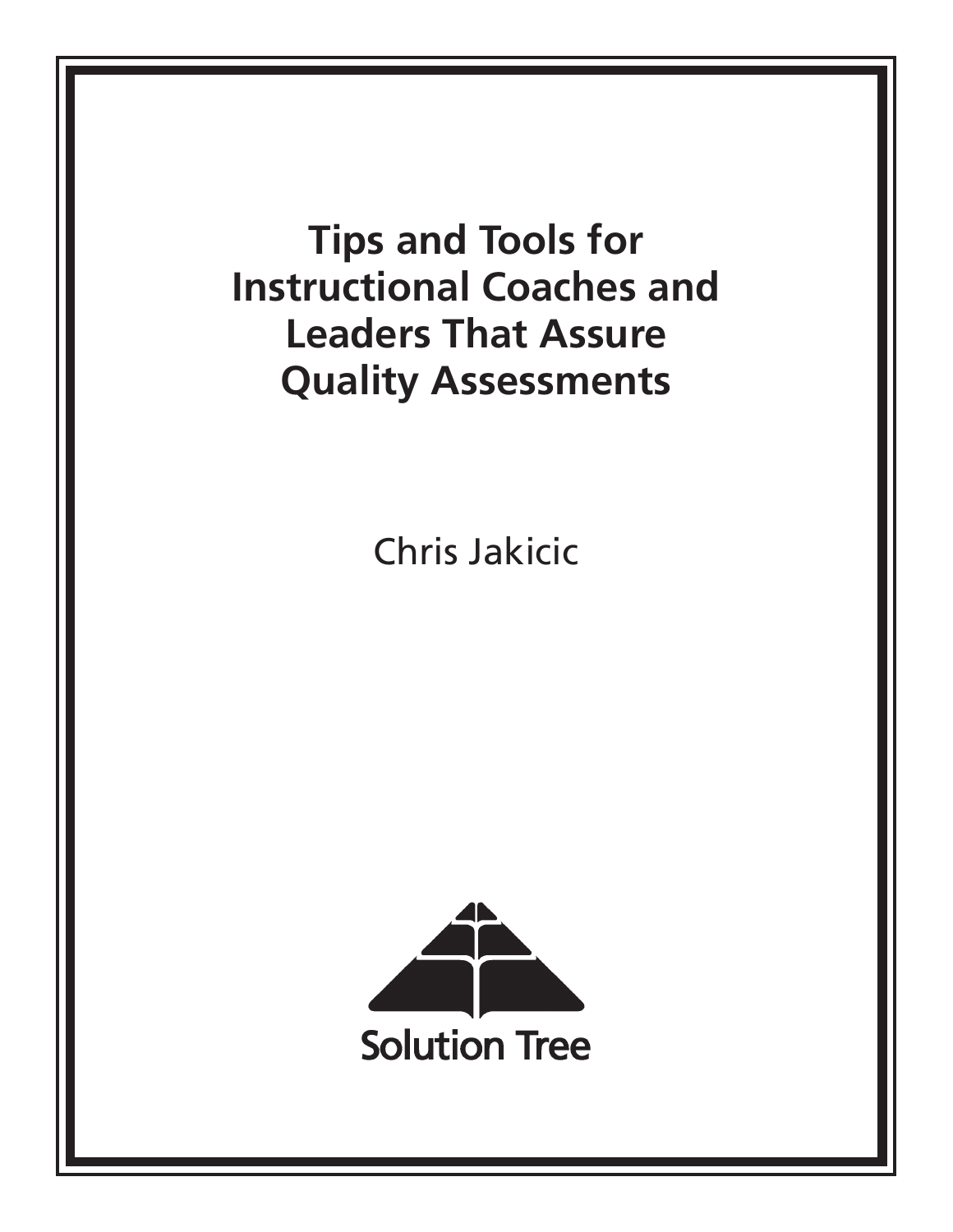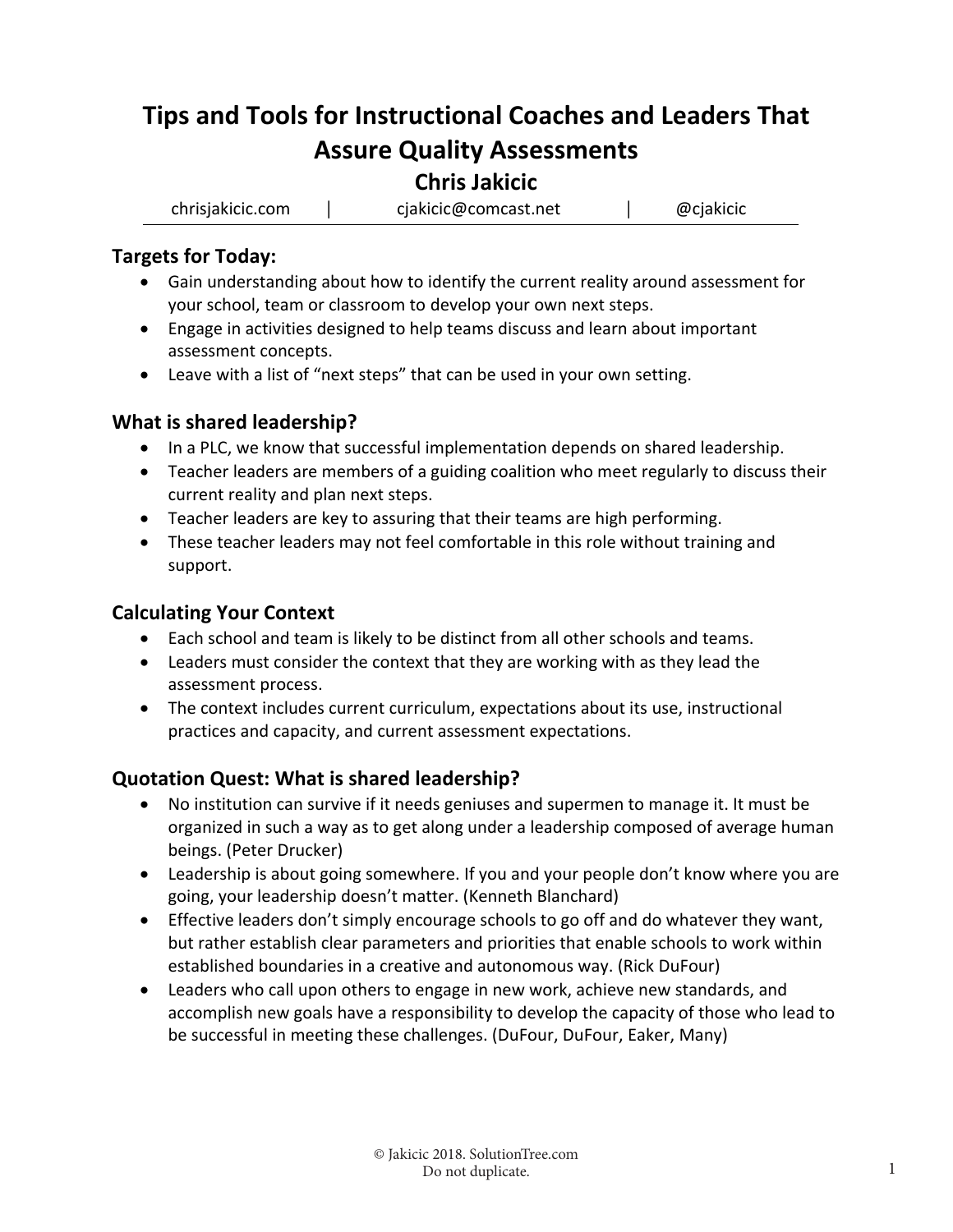# **Tips and Tools for Instructional Coaches and Leaders That Assure Quality Assessments**

## **Chris Jakicic**

chrisjakicic.com │ cjakicic@comcast.net │ @cjakicic

### **Targets for Today:**

- Gain understanding about how to identify the current reality around assessment for your school, team or classroom to develop your own next steps.
- Engage in activities designed to help teams discuss and learn about important assessment concepts.
- Leave with a list of "next steps" that can be used in your own setting.

### **What is shared leadership?**

- In a PLC, we know that successful implementation depends on shared leadership.
- Teacher leaders are members of a guiding coalition who meet regularly to discuss their current reality and plan next steps.
- Teacher leaders are key to assuring that their teams are high performing.
- These teacher leaders may not feel comfortable in this role without training and support.

### **Calculating Your Context**

- Each school and team is likely to be distinct from all other schools and teams.
- Leaders must consider the context that they are working with as they lead the assessment process.
- The context includes current curriculum, expectations about its use, instructional practices and capacity, and current assessment expectations.

## **Quotation Quest: What is shared leadership?**

- No institution can survive if it needs geniuses and supermen to manage it. It must be organized in such a way as to get along under a leadership composed of average human beings. (Peter Drucker)
- Leadership is about going somewhere. If you and your people don't know where you are going, your leadership doesn't matter. (Kenneth Blanchard)
- Effective leaders don't simply encourage schools to go off and do whatever they want, but rather establish clear parameters and priorities that enable schools to work within established boundaries in a creative and autonomous way. (Rick DuFour)
- Leaders who call upon others to engage in new work, achieve new standards, and accomplish new goals have a responsibility to develop the capacity of those who lead to be successful in meeting these challenges. (DuFour, DuFour, Eaker, Many)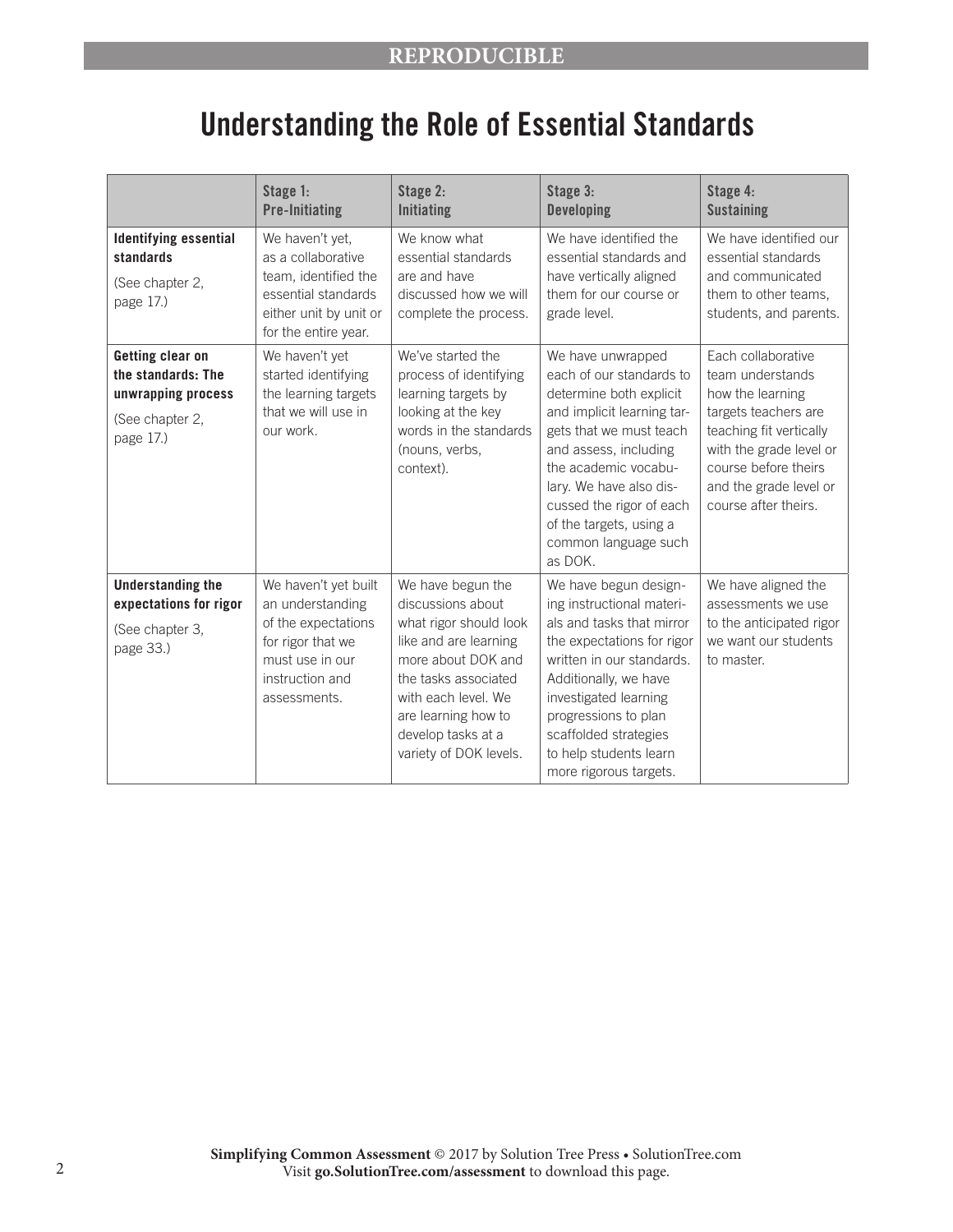# Understanding the Role of Essential Standards

|                                                                                              | Stage 1:<br><b>Pre-Initiating</b>                                                                                                          | Stage 2:<br><b>Initiating</b>                                                                                                                                                                                                         | Stage 3:<br><b>Developing</b>                                                                                                                                                                                                                                                                           | Stage 4:<br><b>Sustaining</b>                                                                                                                                                                                      |
|----------------------------------------------------------------------------------------------|--------------------------------------------------------------------------------------------------------------------------------------------|---------------------------------------------------------------------------------------------------------------------------------------------------------------------------------------------------------------------------------------|---------------------------------------------------------------------------------------------------------------------------------------------------------------------------------------------------------------------------------------------------------------------------------------------------------|--------------------------------------------------------------------------------------------------------------------------------------------------------------------------------------------------------------------|
| <b>Identifying essential</b><br>standards<br>(See chapter 2,<br>page 17.)                    | We haven't yet,<br>as a collaborative<br>team, identified the<br>essential standards<br>either unit by unit or<br>for the entire year.     | We know what<br>essential standards<br>are and have<br>discussed how we will<br>complete the process.                                                                                                                                 | We have identified the<br>essential standards and<br>have vertically aligned<br>them for our course or<br>grade level.                                                                                                                                                                                  | We have identified our<br>essential standards<br>and communicated<br>them to other teams,<br>students, and parents.                                                                                                |
| Getting clear on<br>the standards: The<br>unwrapping process<br>(See chapter 2,<br>page 17.) | We haven't yet<br>started identifying<br>the learning targets<br>that we will use in<br>our work.                                          | We've started the<br>process of identifying<br>learning targets by<br>looking at the key<br>words in the standards<br>(nouns, verbs,<br>context).                                                                                     | We have unwrapped<br>each of our standards to<br>determine both explicit<br>and implicit learning tar-<br>gets that we must teach<br>and assess, including<br>the academic vocabu-<br>lary. We have also dis-<br>cussed the rigor of each<br>of the targets, using a<br>common language such<br>as DOK. | Each collaborative<br>team understands<br>how the learning<br>targets teachers are<br>teaching fit vertically<br>with the grade level or<br>course before theirs<br>and the grade level or<br>course after theirs. |
| <b>Understanding the</b><br>expectations for rigor<br>(See chapter 3,<br>page 33.)           | We haven't yet built<br>an understanding<br>of the expectations<br>for rigor that we<br>must use in our<br>instruction and<br>assessments. | We have begun the<br>discussions about<br>what rigor should look<br>like and are learning<br>more about DOK and<br>the tasks associated<br>with each level. We<br>are learning how to<br>develop tasks at a<br>variety of DOK levels. | We have begun design-<br>ing instructional materi-<br>als and tasks that mirror<br>the expectations for rigor<br>written in our standards.<br>Additionally, we have<br>investigated learning<br>progressions to plan<br>scaffolded strategies<br>to help students learn<br>more rigorous targets.       | We have aligned the<br>assessments we use<br>to the anticipated rigor<br>we want our students<br>to master.                                                                                                        |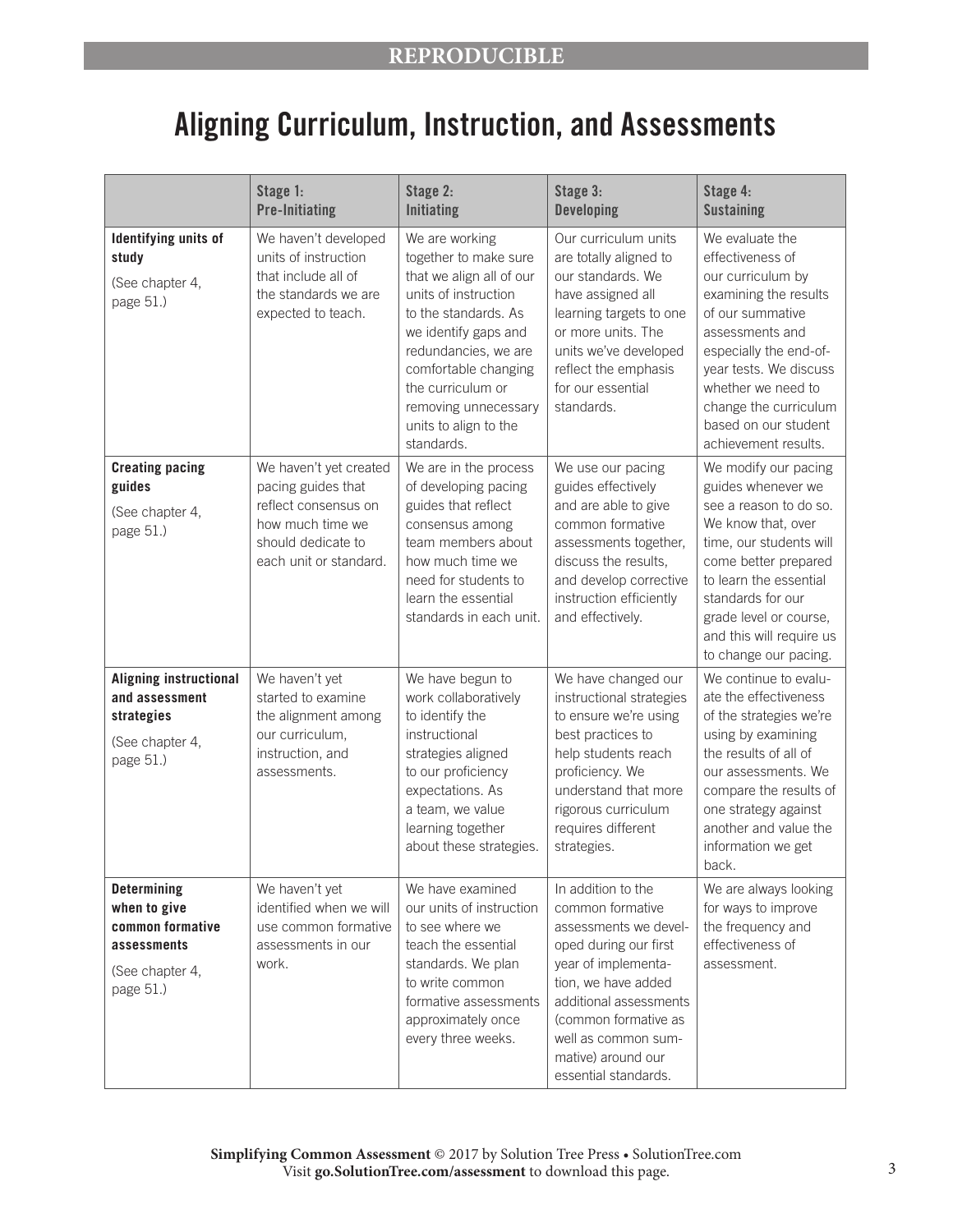# Aligning Curriculum, Instruction, and Assessments

|                                                                                                       | Stage 1:<br><b>Pre-Initiating</b>                                                                                                        | Stage 2:<br><b>Initiating</b>                                                                                                                                                                                                                                                   | Stage 3:<br><b>Developing</b>                                                                                                                                                                                                                                 | Stage 4:<br><b>Sustaining</b>                                                                                                                                                                                                                                               |
|-------------------------------------------------------------------------------------------------------|------------------------------------------------------------------------------------------------------------------------------------------|---------------------------------------------------------------------------------------------------------------------------------------------------------------------------------------------------------------------------------------------------------------------------------|---------------------------------------------------------------------------------------------------------------------------------------------------------------------------------------------------------------------------------------------------------------|-----------------------------------------------------------------------------------------------------------------------------------------------------------------------------------------------------------------------------------------------------------------------------|
| Identifying units of<br>study<br>(See chapter 4,<br>page 51.)                                         | We haven't developed<br>units of instruction<br>that include all of<br>the standards we are<br>expected to teach.                        | We are working<br>together to make sure<br>that we align all of our<br>units of instruction<br>to the standards. As<br>we identify gaps and<br>redundancies, we are<br>comfortable changing<br>the curriculum or<br>removing unnecessary<br>units to align to the<br>standards. | Our curriculum units<br>are totally aligned to<br>our standards. We<br>have assigned all<br>learning targets to one<br>or more units. The<br>units we've developed<br>reflect the emphasis<br>for our essential<br>standards.                                 | We evaluate the<br>effectiveness of<br>our curriculum by<br>examining the results<br>of our summative<br>assessments and<br>especially the end-of-<br>year tests. We discuss<br>whether we need to<br>change the curriculum<br>based on our student<br>achievement results. |
| <b>Creating pacing</b><br>guides<br>(See chapter 4,<br>page 51.)                                      | We haven't yet created<br>pacing guides that<br>reflect consensus on<br>how much time we<br>should dedicate to<br>each unit or standard. | We are in the process<br>of developing pacing<br>guides that reflect<br>consensus among<br>team members about<br>how much time we<br>need for students to<br>learn the essential<br>standards in each unit.                                                                     | We use our pacing<br>guides effectively<br>and are able to give<br>common formative<br>assessments together,<br>discuss the results,<br>and develop corrective<br>instruction efficiently<br>and effectively.                                                 | We modify our pacing<br>guides whenever we<br>see a reason to do so.<br>We know that, over<br>time, our students will<br>come better prepared<br>to learn the essential<br>standards for our<br>grade level or course,<br>and this will require us<br>to change our pacing. |
| <b>Aligning instructional</b><br>and assessment<br>strategies<br>(See chapter 4,<br>page 51.)         | We haven't yet<br>started to examine<br>the alignment among<br>our curriculum,<br>instruction, and<br>assessments.                       | We have begun to<br>work collaboratively<br>to identify the<br>instructional<br>strategies aligned<br>to our proficiency<br>expectations. As<br>a team, we value<br>learning together<br>about these strategies.                                                                | We have changed our<br>instructional strategies<br>to ensure we're using<br>best practices to<br>help students reach<br>proficiency. We<br>understand that more<br>rigorous curriculum<br>requires different<br>strategies.                                   | We continue to evalu-<br>ate the effectiveness<br>of the strategies we're<br>using by examining<br>the results of all of<br>our assessments. We<br>compare the results of<br>one strategy against<br>another and value the<br>information we get<br>back.                   |
| <b>Determining</b><br>when to give<br>common formative<br>assessments<br>(See chapter 4,<br>page 51.) | We haven't yet<br>identified when we will<br>use common formative<br>assessments in our<br>work.                                         | We have examined<br>our units of instruction<br>to see where we<br>teach the essential<br>standards. We plan<br>to write common<br>formative assessments<br>approximately once<br>every three weeks.                                                                            | In addition to the<br>common formative<br>assessments we devel-<br>oped during our first<br>year of implementa-<br>tion, we have added<br>additional assessments<br>(common formative as<br>well as common sum-<br>mative) around our<br>essential standards. | We are always looking<br>for ways to improve<br>the frequency and<br>effectiveness of<br>assessment.                                                                                                                                                                        |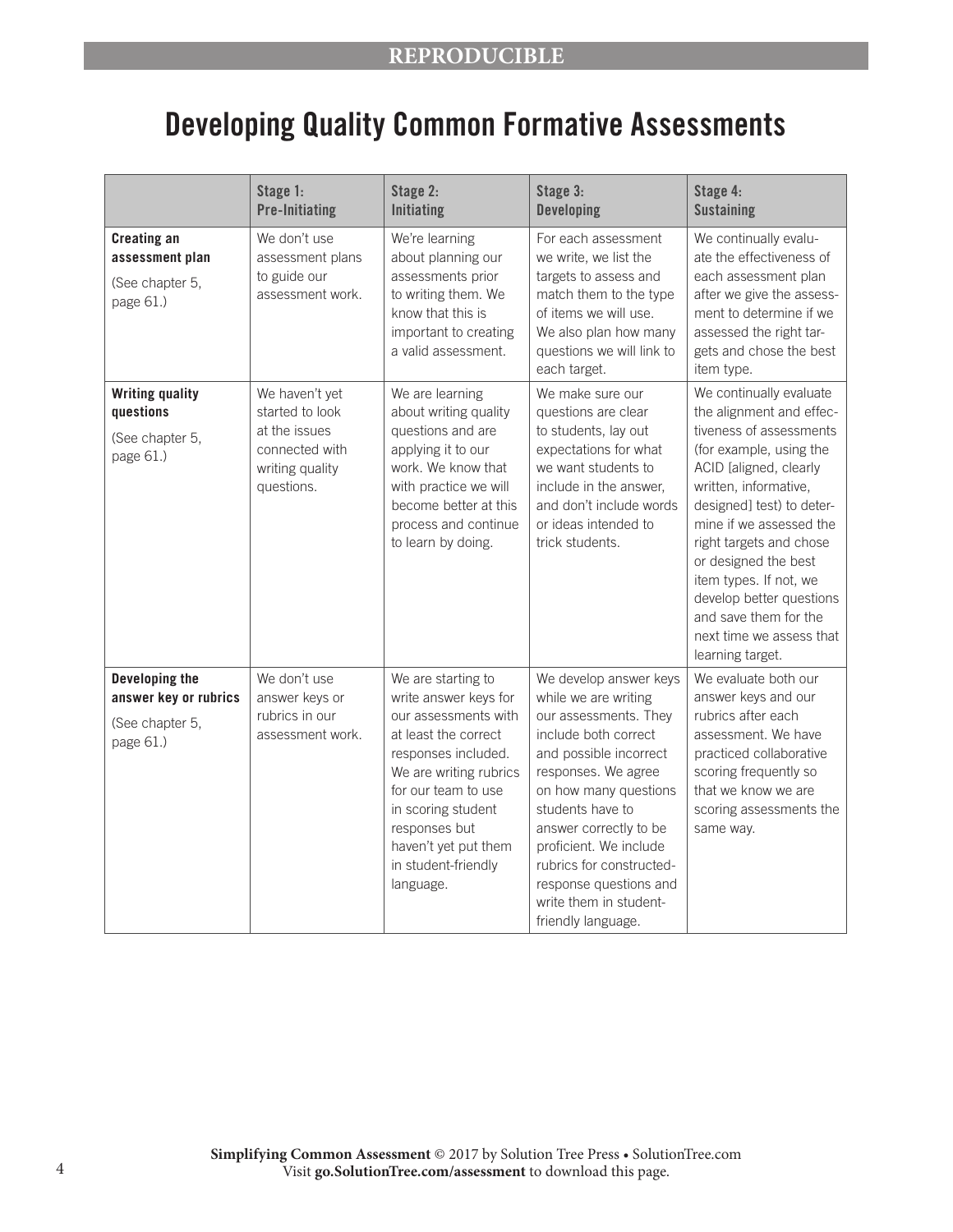# Developing Quality Common Formative Assessments

|                                                                         | Stage 1:<br><b>Pre-Initiating</b>                                                                     | Stage 2:<br><b>Initiating</b>                                                                                                                                                                                                                                          | Stage 3:<br><b>Developing</b>                                                                                                                                                                                                                                                                                                                           | Stage 4:<br><b>Sustaining</b>                                                                                                                                                                                                                                                                                                                                                                          |
|-------------------------------------------------------------------------|-------------------------------------------------------------------------------------------------------|------------------------------------------------------------------------------------------------------------------------------------------------------------------------------------------------------------------------------------------------------------------------|---------------------------------------------------------------------------------------------------------------------------------------------------------------------------------------------------------------------------------------------------------------------------------------------------------------------------------------------------------|--------------------------------------------------------------------------------------------------------------------------------------------------------------------------------------------------------------------------------------------------------------------------------------------------------------------------------------------------------------------------------------------------------|
| <b>Creating an</b><br>assessment plan<br>(See chapter 5,<br>page 61.)   | We don't use<br>assessment plans<br>to guide our<br>assessment work.                                  | We're learning<br>about planning our<br>assessments prior<br>to writing them. We<br>know that this is<br>important to creating<br>a valid assessment.                                                                                                                  | For each assessment<br>we write, we list the<br>targets to assess and<br>match them to the type<br>of items we will use.<br>We also plan how many<br>questions we will link to<br>each target.                                                                                                                                                          | We continually evalu-<br>ate the effectiveness of<br>each assessment plan<br>after we give the assess-<br>ment to determine if we<br>assessed the right tar-<br>gets and chose the best<br>item type.                                                                                                                                                                                                  |
| <b>Writing quality</b><br>questions<br>(See chapter 5,<br>page 61.)     | We haven't yet<br>started to look<br>at the issues<br>connected with<br>writing quality<br>questions. | We are learning<br>about writing quality<br>questions and are<br>applying it to our<br>work. We know that<br>with practice we will<br>become better at this<br>process and continue<br>to learn by doing.                                                              | We make sure our<br>questions are clear<br>to students, lay out<br>expectations for what<br>we want students to<br>include in the answer,<br>and don't include words<br>or ideas intended to<br>trick students.                                                                                                                                         | We continually evaluate<br>the alignment and effec-<br>tiveness of assessments<br>(for example, using the<br>ACID [aligned, clearly<br>written, informative,<br>designed] test) to deter-<br>mine if we assessed the<br>right targets and chose<br>or designed the best<br>item types. If not, we<br>develop better questions<br>and save them for the<br>next time we assess that<br>learning target. |
| Developing the<br>answer key or rubrics<br>(See chapter 5,<br>page 61.) | We don't use<br>answer keys or<br>rubrics in our<br>assessment work.                                  | We are starting to<br>write answer keys for<br>our assessments with<br>at least the correct<br>responses included.<br>We are writing rubrics<br>for our team to use<br>in scoring student<br>responses but<br>haven't yet put them<br>in student-friendly<br>language. | We develop answer keys<br>while we are writing<br>our assessments. They<br>include both correct<br>and possible incorrect<br>responses. We agree<br>on how many questions<br>students have to<br>answer correctly to be<br>proficient. We include<br>rubrics for constructed-<br>response questions and<br>write them in student-<br>friendly language. | We evaluate both our<br>answer keys and our<br>rubrics after each<br>assessment. We have<br>practiced collaborative<br>scoring frequently so<br>that we know we are<br>scoring assessments the<br>same way.                                                                                                                                                                                            |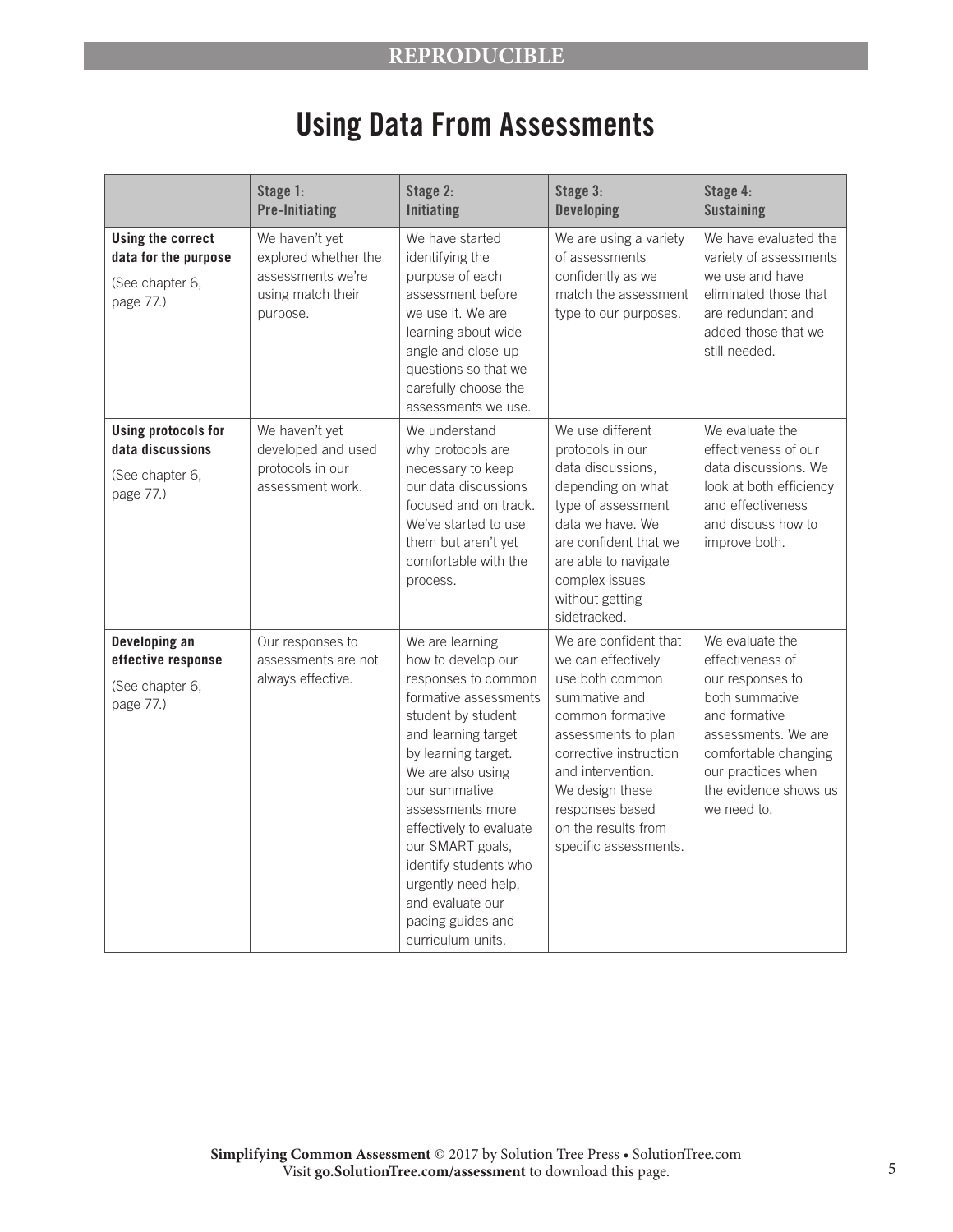## **REPRODUCIBLE**

# Using Data From Assessments

|                                                                                  | Stage 1:<br><b>Pre-Initiating</b>                                                            | Stage 2:<br><b>Initiating</b>                                                                                                                                                                                                                                                                                                                                                    | Stage 3:<br><b>Developing</b>                                                                                                                                                                                                                                   | Stage 4:<br><b>Sustaining</b>                                                                                                                                                                           |
|----------------------------------------------------------------------------------|----------------------------------------------------------------------------------------------|----------------------------------------------------------------------------------------------------------------------------------------------------------------------------------------------------------------------------------------------------------------------------------------------------------------------------------------------------------------------------------|-----------------------------------------------------------------------------------------------------------------------------------------------------------------------------------------------------------------------------------------------------------------|---------------------------------------------------------------------------------------------------------------------------------------------------------------------------------------------------------|
| <b>Using the correct</b><br>data for the purpose<br>(See chapter 6,<br>page 77.) | We haven't yet<br>explored whether the<br>assessments we're<br>using match their<br>purpose. | We have started<br>identifying the<br>purpose of each<br>assessment before<br>we use it. We are<br>learning about wide-<br>angle and close-up<br>questions so that we<br>carefully choose the<br>assessments we use.                                                                                                                                                             | We are using a variety<br>of assessments<br>confidently as we<br>match the assessment<br>type to our purposes.                                                                                                                                                  | We have evaluated the<br>variety of assessments<br>we use and have<br>eliminated those that<br>are redundant and<br>added those that we<br>still needed.                                                |
| <b>Using protocols for</b><br>data discussions<br>(See chapter 6,<br>page 77.)   | We haven't yet<br>developed and used<br>protocols in our<br>assessment work.                 | We understand<br>why protocols are<br>necessary to keep<br>our data discussions<br>focused and on track.<br>We've started to use<br>them but aren't yet<br>comfortable with the<br>process.                                                                                                                                                                                      | We use different<br>protocols in our<br>data discussions,<br>depending on what<br>type of assessment<br>data we have. We<br>are confident that we<br>are able to navigate<br>complex issues<br>without getting<br>sidetracked.                                  | We evaluate the<br>effectiveness of our<br>data discussions. We<br>look at both efficiency<br>and effectiveness<br>and discuss how to<br>improve both.                                                  |
| Developing an<br>effective response<br>(See chapter 6,<br>page 77.)              | Our responses to<br>assessments are not<br>always effective.                                 | We are learning<br>how to develop our<br>responses to common<br>formative assessments<br>student by student<br>and learning target<br>by learning target.<br>We are also using<br>our summative<br>assessments more<br>effectively to evaluate<br>our SMART goals,<br>identify students who<br>urgently need help,<br>and evaluate our<br>pacing guides and<br>curriculum units. | We are confident that<br>we can effectively<br>use both common<br>summative and<br>common formative<br>assessments to plan<br>corrective instruction<br>and intervention.<br>We design these<br>responses based<br>on the results from<br>specific assessments. | We evaluate the<br>effectiveness of<br>our responses to<br>both summative<br>and formative<br>assessments. We are<br>comfortable changing<br>our practices when<br>the evidence shows us<br>we need to. |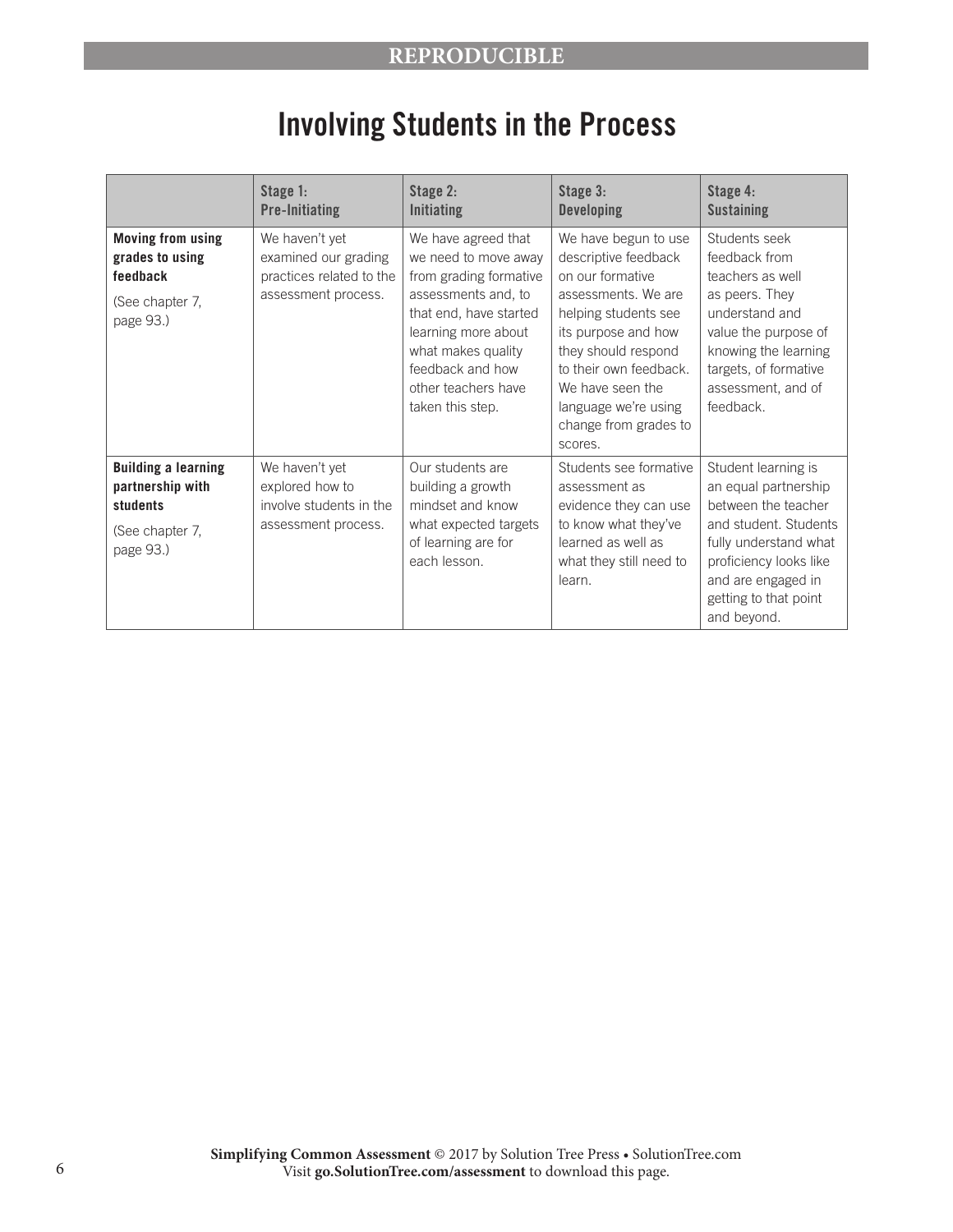#### **REPRODUCIBLE**

# Involving Students in the Process

|                                                                                            | Stage 1:<br><b>Pre-Initiating</b>                                                         | Stage 2:<br><b>Initiating</b>                                                                                                                                                                                                      | Stage 3:<br><b>Developing</b>                                                                                                                                                                                                                                           | Stage 4:<br><b>Sustaining</b>                                                                                                                                                                                |
|--------------------------------------------------------------------------------------------|-------------------------------------------------------------------------------------------|------------------------------------------------------------------------------------------------------------------------------------------------------------------------------------------------------------------------------------|-------------------------------------------------------------------------------------------------------------------------------------------------------------------------------------------------------------------------------------------------------------------------|--------------------------------------------------------------------------------------------------------------------------------------------------------------------------------------------------------------|
| <b>Moving from using</b><br>grades to using<br>feedback<br>(See chapter 7,<br>page 93.)    | We haven't yet<br>examined our grading<br>practices related to the<br>assessment process. | We have agreed that<br>we need to move away<br>from grading formative<br>assessments and, to<br>that end, have started<br>learning more about<br>what makes quality<br>feedback and how<br>other teachers have<br>taken this step. | We have begun to use<br>descriptive feedback<br>on our formative<br>assessments. We are<br>helping students see<br>its purpose and how<br>they should respond<br>to their own feedback.<br>We have seen the<br>language we're using<br>change from grades to<br>scores. | Students seek<br>feedback from<br>teachers as well<br>as peers. They<br>understand and<br>value the purpose of<br>knowing the learning<br>targets, of formative<br>assessment, and of<br>feedback.           |
| <b>Building a learning</b><br>partnership with<br>students<br>(See chapter 7,<br>page 93.) | We haven't yet<br>explored how to<br>involve students in the<br>assessment process.       | Our students are<br>building a growth<br>mindset and know<br>what expected targets<br>of learning are for<br>each lesson.                                                                                                          | Students see formative<br>assessment as<br>evidence they can use<br>to know what they've<br>learned as well as<br>what they still need to<br>learn.                                                                                                                     | Student learning is<br>an equal partnership<br>between the teacher<br>and student. Students<br>fully understand what<br>proficiency looks like<br>and are engaged in<br>getting to that point<br>and beyond. |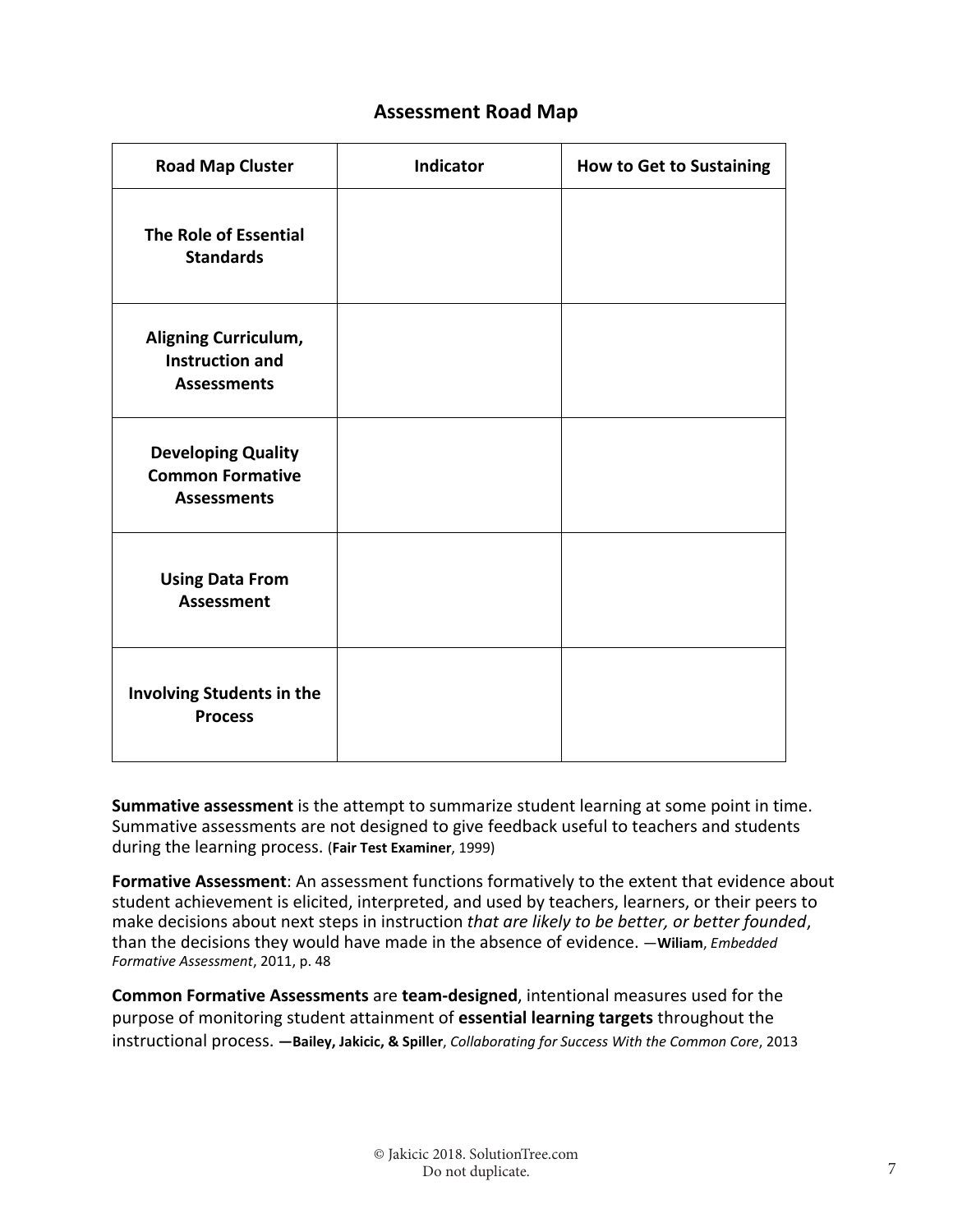#### **Assessment Road Map**

| <b>Road Map Cluster</b>                                                    | Indicator | <b>How to Get to Sustaining</b> |
|----------------------------------------------------------------------------|-----------|---------------------------------|
| <b>The Role of Essential</b><br><b>Standards</b>                           |           |                                 |
| Aligning Curriculum,<br><b>Instruction and</b><br><b>Assessments</b>       |           |                                 |
| <b>Developing Quality</b><br><b>Common Formative</b><br><b>Assessments</b> |           |                                 |
| <b>Using Data From</b><br><b>Assessment</b>                                |           |                                 |
| Involving Students in the<br><b>Process</b>                                |           |                                 |

**Summative assessment** is the attempt to summarize student learning at some point in time. Summative assessments are not designed to give feedback useful to teachers and students during the learning process. (**Fair Test Examiner**, 1999)

**Formative Assessment**: An assessment functions formatively to the extent that evidence about student achievement is elicited, interpreted, and used by teachers, learners, or their peers to make decisions about next steps in instruction *that are likely to be better, or better founded*, than the decisions they would have made in the absence of evidence. —**Wiliam**, *Embedded Formative Assessment*, 2011, p. 48

**Common Formative Assessments** are **team‐designed**, intentional measures used for the purpose of monitoring student attainment of **essential learning targets** throughout the instructional process. **—Bailey, Jakicic, & Spiller**, *Collaborating for Success With the Common Core*, 2013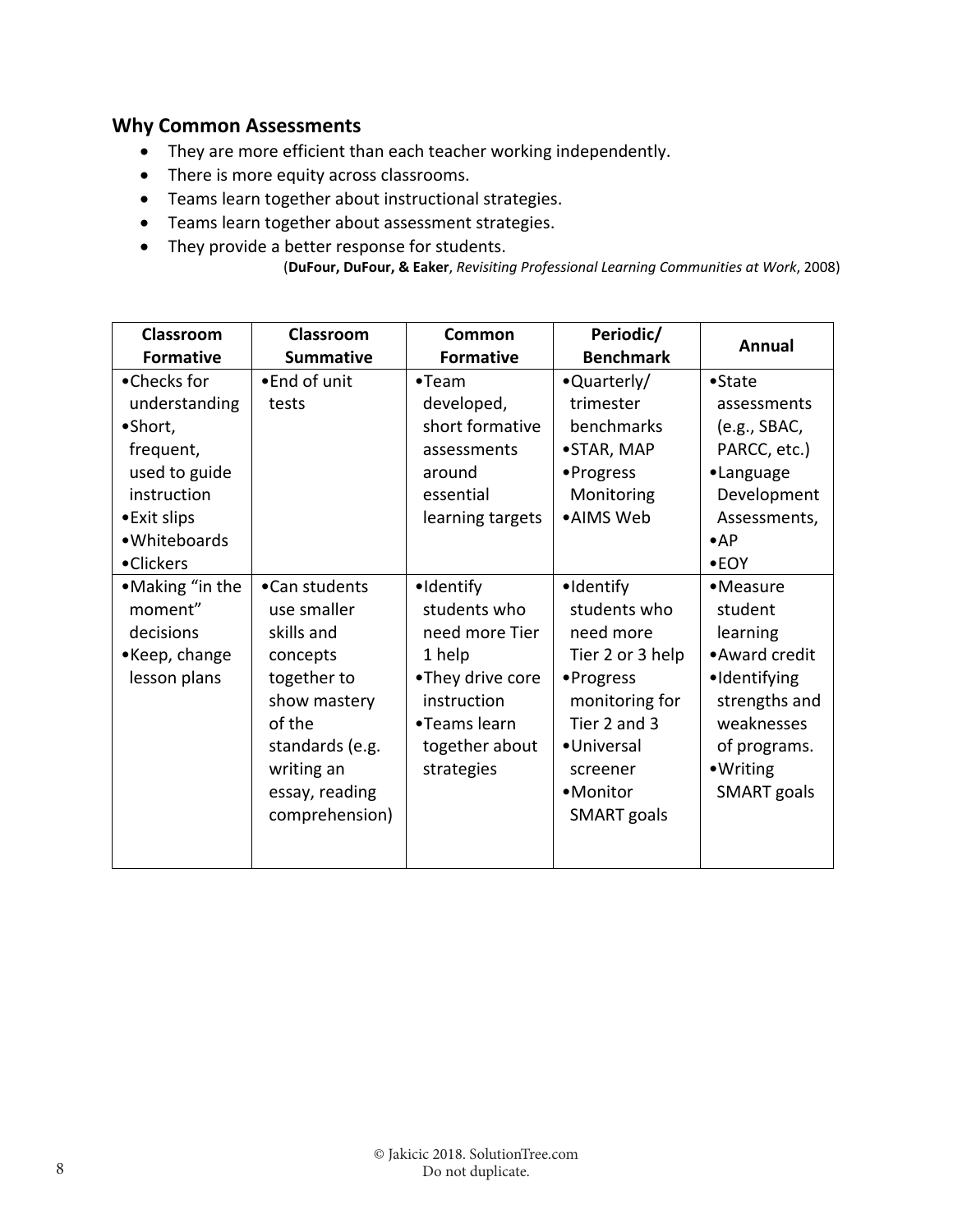### **Why Common Assessments**

- They are more efficient than each teacher working independently.
- There is more equity across classrooms.
- Teams learn together about instructional strategies.
- Teams learn together about assessment strategies.
- They provide a better response for students.

```
(DuFour, DuFour, & Eaker, Revisiting Professional Learning Communities at Work, 2008)
```

| Classroom<br><b>Formative</b>                                                                                                     | Classroom<br><b>Summative</b>                                                                                                                                        | Common<br><b>Formative</b>                                                                                                               | Periodic/<br><b>Benchmark</b>                                                                                                                                          | <b>Annual</b>                                                                                                                                       |
|-----------------------------------------------------------------------------------------------------------------------------------|----------------------------------------------------------------------------------------------------------------------------------------------------------------------|------------------------------------------------------------------------------------------------------------------------------------------|------------------------------------------------------------------------------------------------------------------------------------------------------------------------|-----------------------------------------------------------------------------------------------------------------------------------------------------|
| •Checks for<br>understanding<br>•Short,<br>frequent,<br>used to guide<br>instruction<br>•Exit slips<br>• Whiteboards<br>•Clickers | •End of unit<br>tests                                                                                                                                                | $•$ Team<br>developed,<br>short formative<br>assessments<br>around<br>essential<br>learning targets                                      | •Quarterly/<br>trimester<br>benchmarks<br>•STAR, MAP<br>• Progress<br>Monitoring<br>•AIMS Web                                                                          | $\bullet$ State<br>assessments<br>(e.g., SBAC,<br>PARCC, etc.)<br>•Language<br>Development<br>Assessments,<br>$\bullet$ AP<br>$\bullet$ EOY         |
| •Making "in the<br>moment"<br>decisions<br>•Keep, change<br>lesson plans                                                          | •Can students<br>use smaller<br>skills and<br>concepts<br>together to<br>show mastery<br>of the<br>standards (e.g.<br>writing an<br>essay, reading<br>comprehension) | ·Identify<br>students who<br>need more Tier<br>1 help<br>•They drive core<br>instruction<br>•Teams learn<br>together about<br>strategies | ·Identify<br>students who<br>need more<br>Tier 2 or 3 help<br>• Progress<br>monitoring for<br>Tier 2 and 3<br>•Universal<br>screener<br>•Monitor<br><b>SMART</b> goals | •Measure<br>student<br>learning<br>• Award credit<br>•Identifying<br>strengths and<br>weaknesses<br>of programs.<br>• Writing<br><b>SMART</b> goals |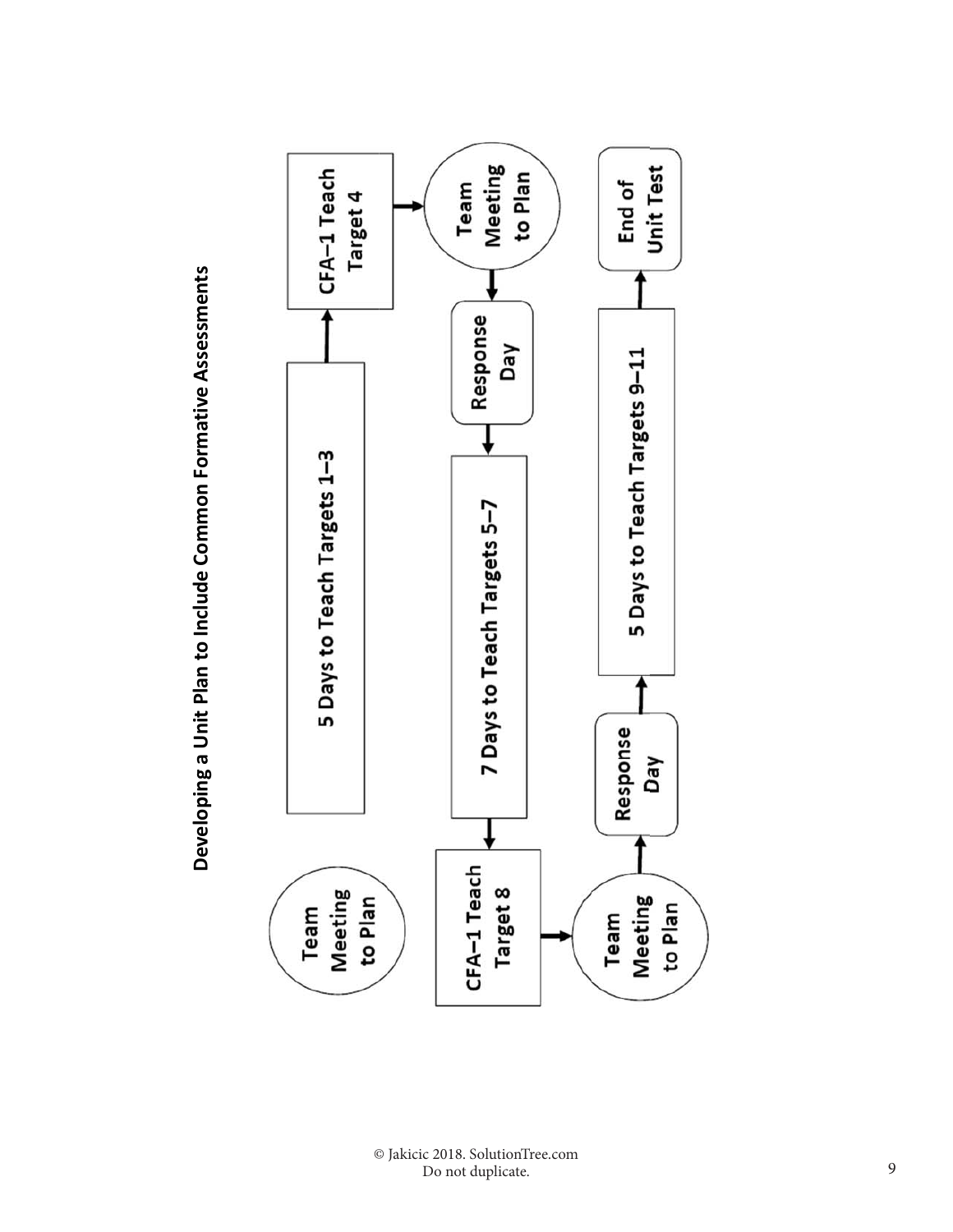

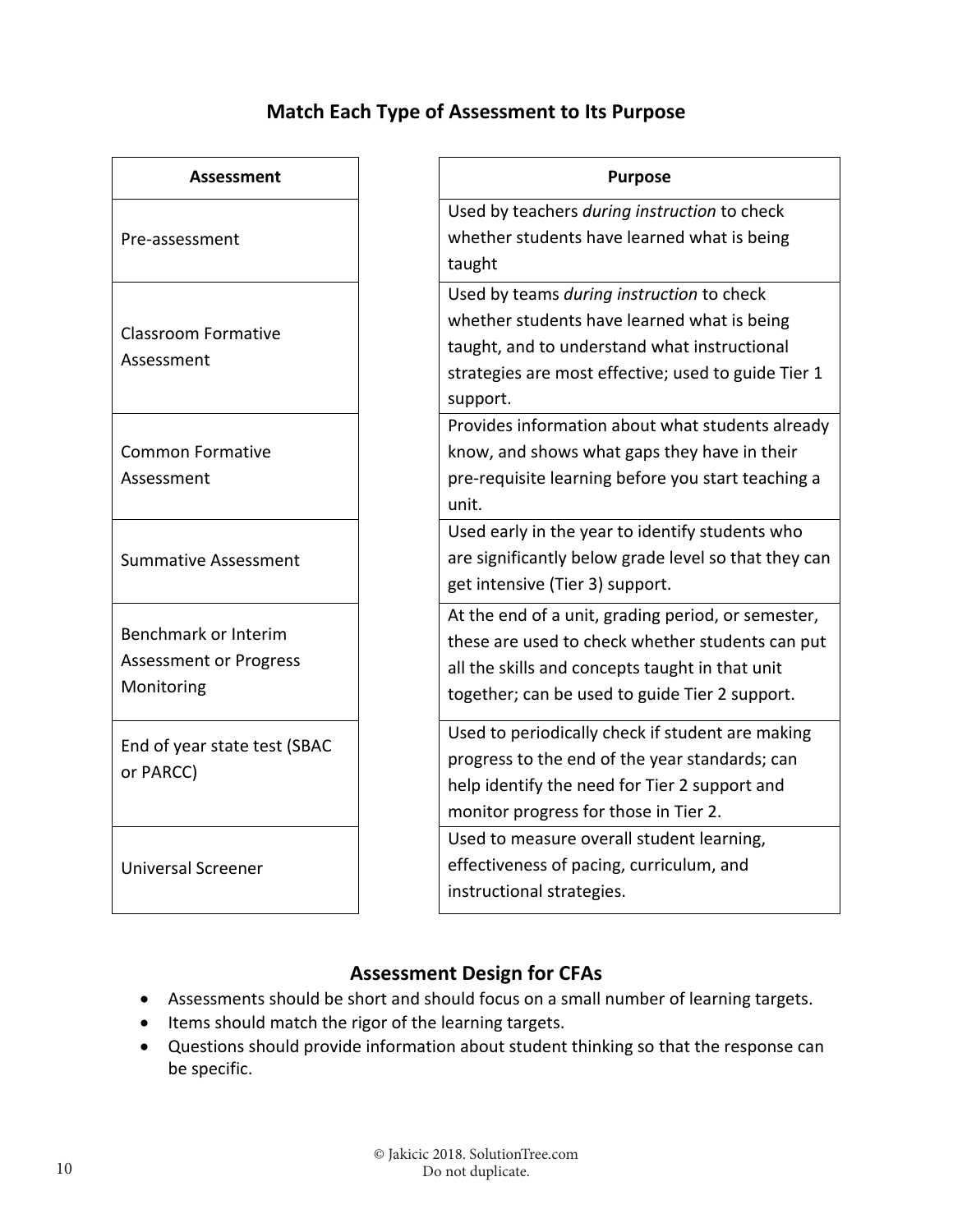## **Match Each Type of Assessment to Its Purpose**

| Assessment                                                                 |
|----------------------------------------------------------------------------|
| Pre-assessment                                                             |
| <b>Classroom Formative</b><br>Assessment                                   |
| <b>Common Formative</b><br>Assessment                                      |
| <b>Summative Assessment</b>                                                |
| <b>Benchmark or Interim</b><br><b>Assessment or Progress</b><br>Monitoring |
| End of year state test (SBAC<br>or PARCC)                                  |
| <b>Universal Screener</b>                                                  |

| Assessment                             | <b>Purpose</b>                                                                                                                                                                                              |
|----------------------------------------|-------------------------------------------------------------------------------------------------------------------------------------------------------------------------------------------------------------|
| sment:                                 | Used by teachers during instruction to check<br>whether students have learned what is being<br>taught                                                                                                       |
| n Formative<br>ent                     | Used by teams during instruction to check<br>whether students have learned what is being<br>taught, and to understand what instructional<br>strategies are most effective; used to guide Tier 1<br>support. |
| Formative<br>∙nt                       | Provides information about what students already<br>know, and shows what gaps they have in their<br>pre-requisite learning before you start teaching a<br>unit.                                             |
| ve Assessment                          | Used early in the year to identify students who<br>are significantly below grade level so that they can<br>get intensive (Tier 3) support.                                                                  |
| rk or Interim<br>ent or Progress<br>ng | At the end of a unit, grading period, or semester,<br>these are used to check whether students can put<br>all the skills and concepts taught in that unit<br>together; can be used to guide Tier 2 support. |
| ar state test (SBAC<br>:)              | Used to periodically check if student are making<br>progress to the end of the year standards; can<br>help identify the need for Tier 2 support and<br>monitor progress for those in Tier 2.                |
| Screener                               | Used to measure overall student learning,<br>effectiveness of pacing, curriculum, and<br>instructional strategies.                                                                                          |

## **Assessment Design for CFAs**

- Assessments should be short and should focus on a small number of learning targets.
- Items should match the rigor of the learning targets.
- Questions should provide information about student thinking so that the response can be specific.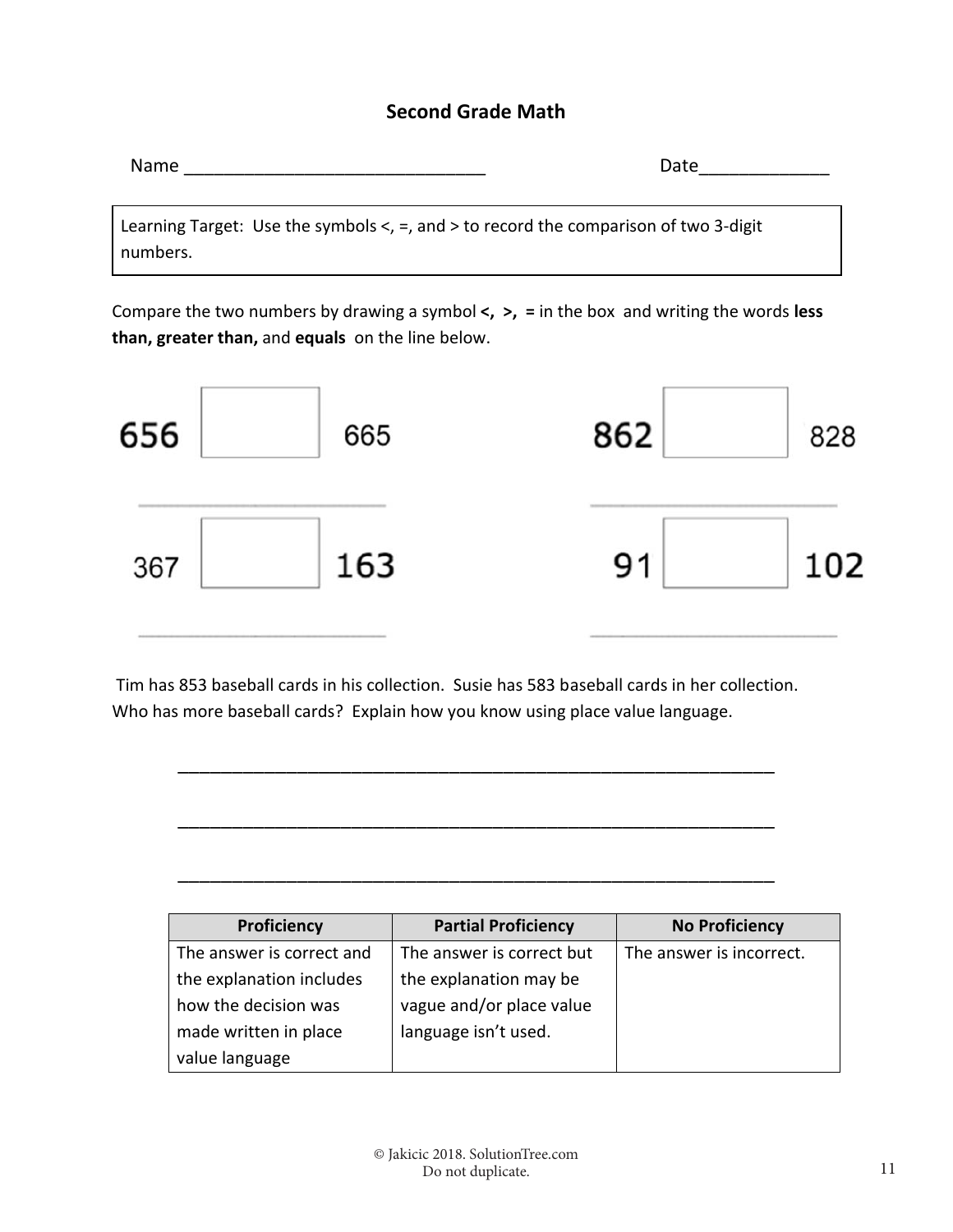#### **Second Grade Math**

|--|--|

Learning Target: Use the symbols <, =, and > to record the comparison of two 3‐digit numbers.

Compare the two numbers by drawing a symbol **<, >, =** in the box and writing the words **less than, greater than,** and **equals**  on the line below.



 Tim has 853 baseball cards in his collection. Susie has 583 baseball cards in her collection. Who has more baseball cards? Explain how you know using place value language.

\_\_\_\_\_\_\_\_\_\_\_\_\_\_\_\_\_\_\_\_\_\_\_\_\_\_\_\_\_\_\_\_\_\_\_\_\_\_\_\_\_\_\_\_\_\_\_\_\_\_\_\_\_\_\_

\_\_\_\_\_\_\_\_\_\_\_\_\_\_\_\_\_\_\_\_\_\_\_\_\_\_\_\_\_\_\_\_\_\_\_\_\_\_\_\_\_\_\_\_\_\_\_\_\_\_\_\_\_\_\_

\_\_\_\_\_\_\_\_\_\_\_\_\_\_\_\_\_\_\_\_\_\_\_\_\_\_\_\_\_\_\_\_\_\_\_\_\_\_\_\_\_\_\_\_\_\_\_\_\_\_\_\_\_\_\_

| Proficiency               | <b>Partial Proficiency</b> | <b>No Proficiency</b>    |
|---------------------------|----------------------------|--------------------------|
| The answer is correct and | The answer is correct but  | The answer is incorrect. |
| the explanation includes  | the explanation may be     |                          |
| how the decision was      | vague and/or place value   |                          |
| made written in place     | language isn't used.       |                          |
| value language            |                            |                          |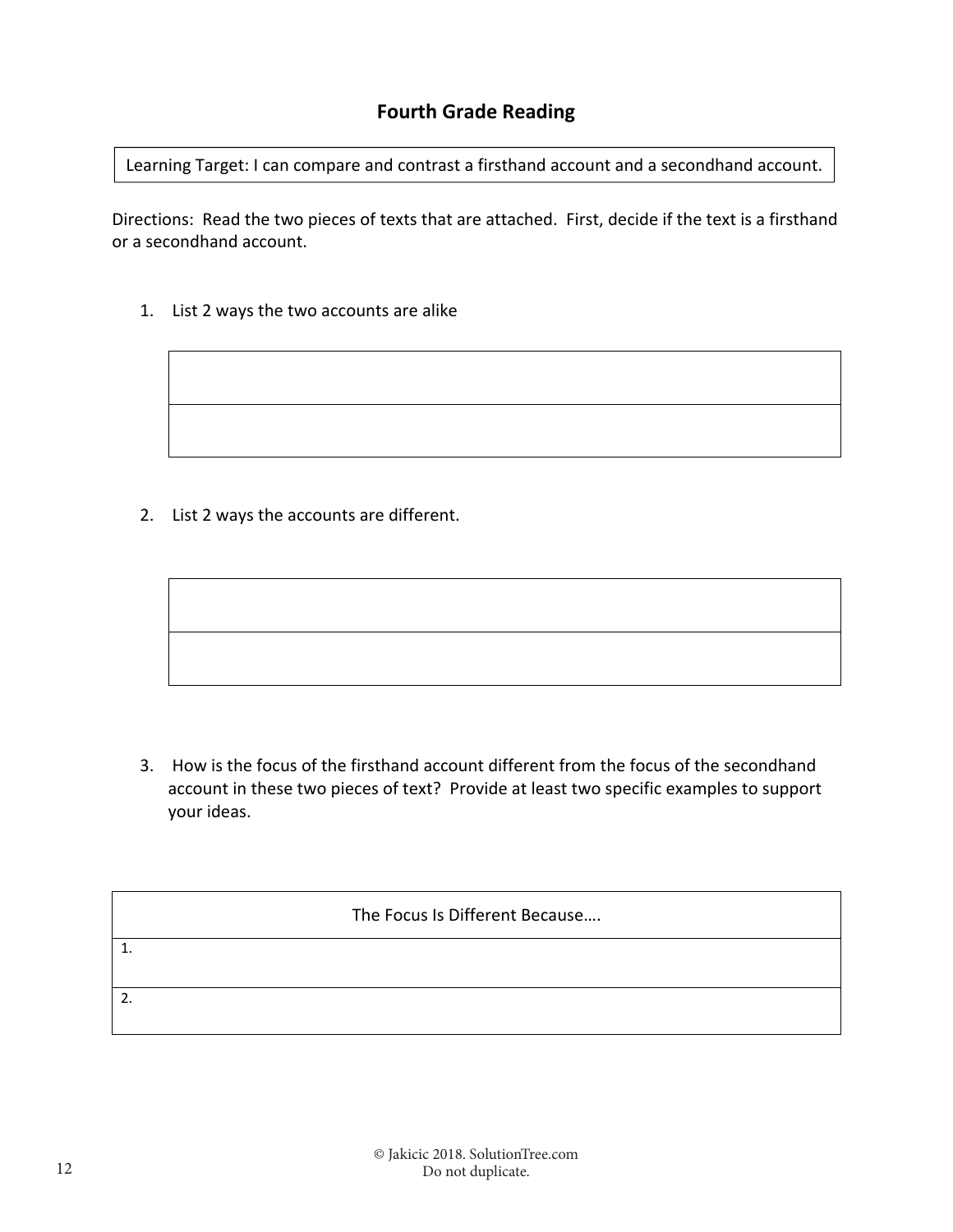Learning Target: I can compare and contrast a firsthand account and a secondhand account.

Directions: Read the two pieces of texts that are attached. First, decide if the text is a firsthand or a secondhand account.

1. List 2 ways the two accounts are alike

2. List 2 ways the accounts are different.

3. How is the focus of the firsthand account different from the focus of the secondhand account in these two pieces of text? Provide at least two specific examples to support your ideas.

The Focus Is Different Because…. 1. 2.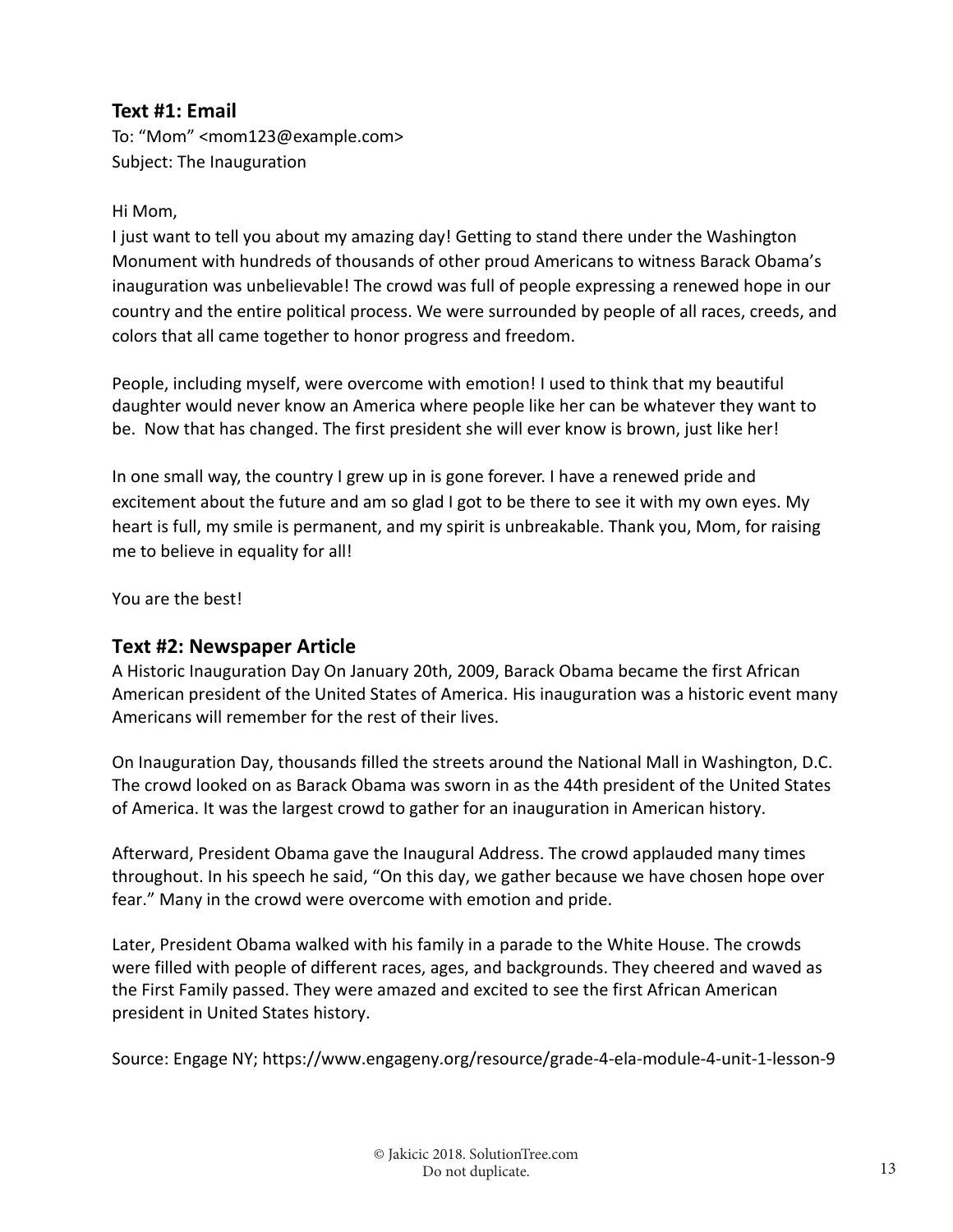### **Text #1: Email**

To: "Mom" <mom123@example.com> Subject: The Inauguration

#### Hi Mom,

I just want to tell you about my amazing day! Getting to stand there under the Washington Monument with hundreds of thousands of other proud Americans to witness Barack Obama's inauguration was unbelievable! The crowd was full of people expressing a renewed hope in our country and the entire political process. We were surrounded by people of all races, creeds, and colors that all came together to honor progress and freedom.

People, including myself, were overcome with emotion! I used to think that my beautiful daughter would never know an America where people like her can be whatever they want to be. Now that has changed. The first president she will ever know is brown, just like her!

In one small way, the country I grew up in is gone forever. I have a renewed pride and excitement about the future and am so glad I got to be there to see it with my own eyes. My heart is full, my smile is permanent, and my spirit is unbreakable. Thank you, Mom, for raising me to believe in equality for all!

You are the best!

#### **Text #2: Newspaper Article**

A Historic Inauguration Day On January 20th, 2009, Barack Obama became the first African American president of the United States of America. His inauguration was a historic event many Americans will remember for the rest of their lives.

On Inauguration Day, thousands filled the streets around the National Mall in Washington, D.C. The crowd looked on as Barack Obama was sworn in as the 44th president of the United States of America. It was the largest crowd to gather for an inauguration in American history.

Afterward, President Obama gave the Inaugural Address. The crowd applauded many times throughout. In his speech he said, "On this day, we gather because we have chosen hope over fear." Many in the crowd were overcome with emotion and pride.

Later, President Obama walked with his family in a parade to the White House. The crowds were filled with people of different races, ages, and backgrounds. They cheered and waved as the First Family passed. They were amazed and excited to see the first African American president in United States history.

Source: Engage NY; https://www.engageny.org/resource/grade‐4‐ela‐module‐4‐unit‐1‐lesson‐9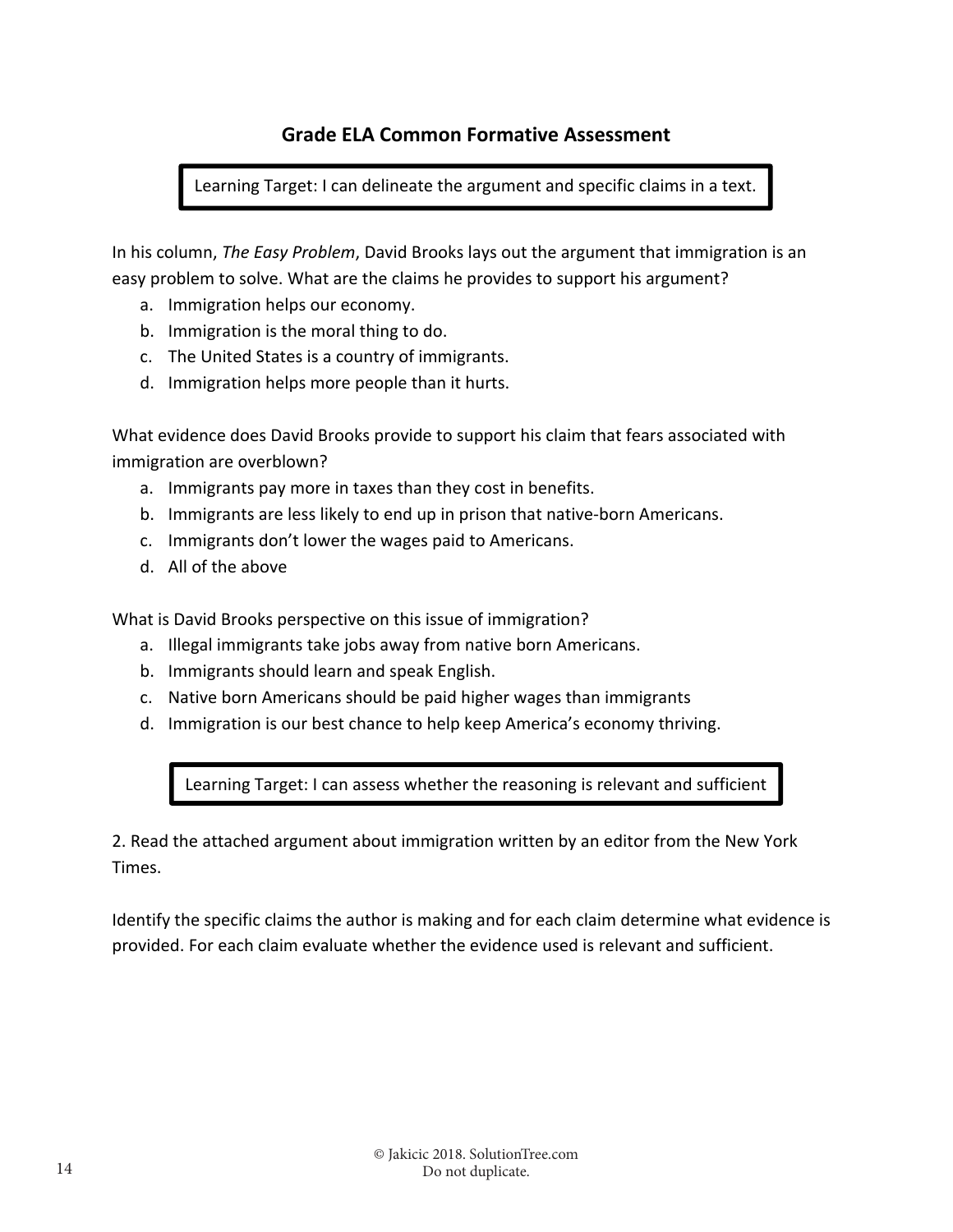### **Grade ELA Common Formative Assessment**

Learning Target: I can delineate the argument and specific claims in a text.

In his column, *The Easy Problem*, David Brooks lays out the argument that immigration is an easy problem to solve. What are the claims he provides to support his argument?

- a. Immigration helps our economy.
- b. Immigration is the moral thing to do.
- c. The United States is a country of immigrants.
- d. Immigration helps more people than it hurts.

What evidence does David Brooks provide to support his claim that fears associated with immigration are overblown?

- a. Immigrants pay more in taxes than they cost in benefits.
- b. Immigrants are less likely to end up in prison that native‐born Americans.
- c. Immigrants don't lower the wages paid to Americans.
- d. All of the above

What is David Brooks perspective on this issue of immigration?

- a. Illegal immigrants take jobs away from native born Americans.
- b. Immigrants should learn and speak English.
- c. Native born Americans should be paid higher wages than immigrants
- d. Immigration is our best chance to help keep America's economy thriving.

Learning Target: I can assess whether the reasoning is relevant and sufficient

2. Read the attached argument about immigration written by an editor from the New York Times.

Identify the specific claims the author is making and for each claim determine what evidence is provided. For each claim evaluate whether the evidence used is relevant and sufficient.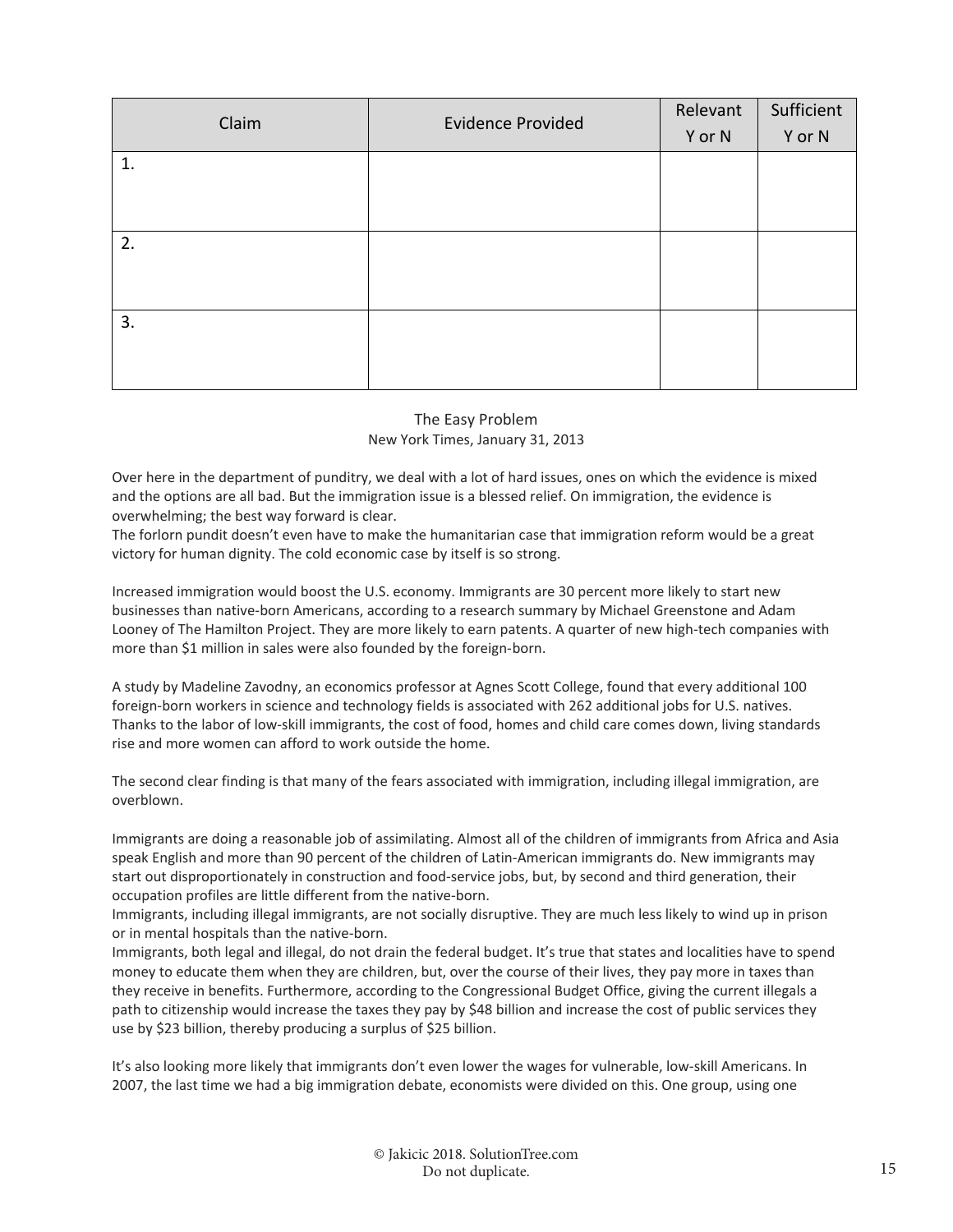| Claim | <b>Evidence Provided</b> |        | Sufficient |
|-------|--------------------------|--------|------------|
|       |                          | Y or N | Y or N     |
| 1.    |                          |        |            |
|       |                          |        |            |
|       |                          |        |            |
| 2.    |                          |        |            |
|       |                          |        |            |
|       |                          |        |            |
| 3.    |                          |        |            |
|       |                          |        |            |
|       |                          |        |            |

#### The Easy Problem New York Times, January 31, 2013

Over here in the department of punditry, we deal with a lot of hard issues, ones on which the evidence is mixed and the options are all bad. But the immigration issue is a blessed relief. On immigration, the evidence is overwhelming; the best way forward is clear.

The forlorn pundit doesn't even have to make the humanitarian case that immigration reform would be a great victory for human dignity. The cold economic case by itself is so strong.

Increased immigration would boost the U.S. economy. Immigrants are 30 percent more likely to start new businesses than native‐born Americans, according to a research summary by Michael Greenstone and Adam Looney of The Hamilton Project. They are more likely to earn patents. A quarter of new high-tech companies with more than \$1 million in sales were also founded by the foreign‐born.

A study by Madeline Zavodny, an economics professor at Agnes Scott College, found that every additional 100 foreign-born workers in science and technology fields is associated with 262 additional jobs for U.S. natives. Thanks to the labor of low‐skill immigrants, the cost of food, homes and child care comes down, living standards rise and more women can afford to work outside the home.

The second clear finding is that many of the fears associated with immigration, including illegal immigration, are overblown.

Immigrants are doing a reasonable job of assimilating. Almost all of the children of immigrants from Africa and Asia speak English and more than 90 percent of the children of Latin-American immigrants do. New immigrants may start out disproportionately in construction and food-service jobs, but, by second and third generation, their occupation profiles are little different from the native‐born.

Immigrants, including illegal immigrants, are not socially disruptive. They are much less likely to wind up in prison or in mental hospitals than the native‐born.

Immigrants, both legal and illegal, do not drain the federal budget. It's true that states and localities have to spend money to educate them when they are children, but, over the course of their lives, they pay more in taxes than they receive in benefits. Furthermore, according to the Congressional Budget Office, giving the current illegals a path to citizenship would increase the taxes they pay by \$48 billion and increase the cost of public services they use by \$23 billion, thereby producing a surplus of \$25 billion.

It's also looking more likely that immigrants don't even lower the wages for vulnerable, low‐skill Americans. In 2007, the last time we had a big immigration debate, economists were divided on this. One group, using one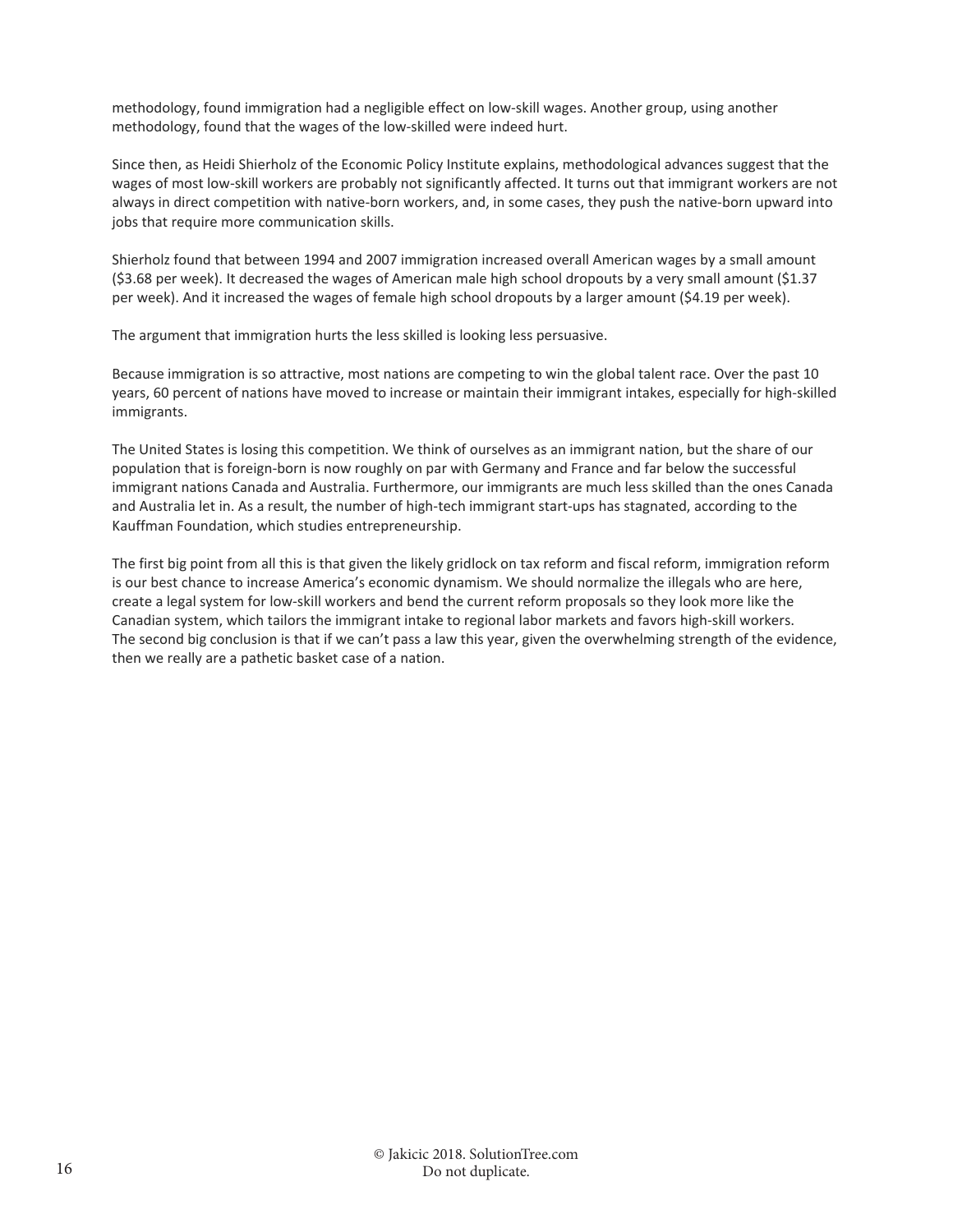methodology, found immigration had a negligible effect on low‐skill wages. Another group, using another methodology, found that the wages of the low-skilled were indeed hurt.

Since then, as Heidi Shierholz of the Economic Policy Institute explains, methodological advances suggest that the wages of most low-skill workers are probably not significantly affected. It turns out that immigrant workers are not always in direct competition with native‐born workers, and, in some cases, they push the native‐born upward into jobs that require more communication skills.

Shierholz found that between 1994 and 2007 immigration increased overall American wages by a small amount (\$3.68 per week). It decreased the wages of American male high school dropouts by a very small amount (\$1.37 per week). And it increased the wages of female high school dropouts by a larger amount (\$4.19 per week).

The argument that immigration hurts the less skilled is looking less persuasive.

Because immigration is so attractive, most nations are competing to win the global talent race. Over the past 10 years, 60 percent of nations have moved to increase or maintain their immigrant intakes, especially for high‐skilled immigrants.

The United States is losing this competition. We think of ourselves as an immigrant nation, but the share of our population that is foreign‐born is now roughly on par with Germany and France and far below the successful immigrant nations Canada and Australia. Furthermore, our immigrants are much less skilled than the ones Canada and Australia let in. As a result, the number of high-tech immigrant start-ups has stagnated, according to the Kauffman Foundation, which studies entrepreneurship.

The first big point from all this is that given the likely gridlock on tax reform and fiscal reform, immigration reform is our best chance to increase America's economic dynamism. We should normalize the illegals who are here, create a legal system for low‐skill workers and bend the current reform proposals so they look more like the Canadian system, which tailors the immigrant intake to regional labor markets and favors high‐skill workers. The second big conclusion is that if we can't pass a law this year, given the overwhelming strength of the evidence, then we really are a pathetic basket case of a nation.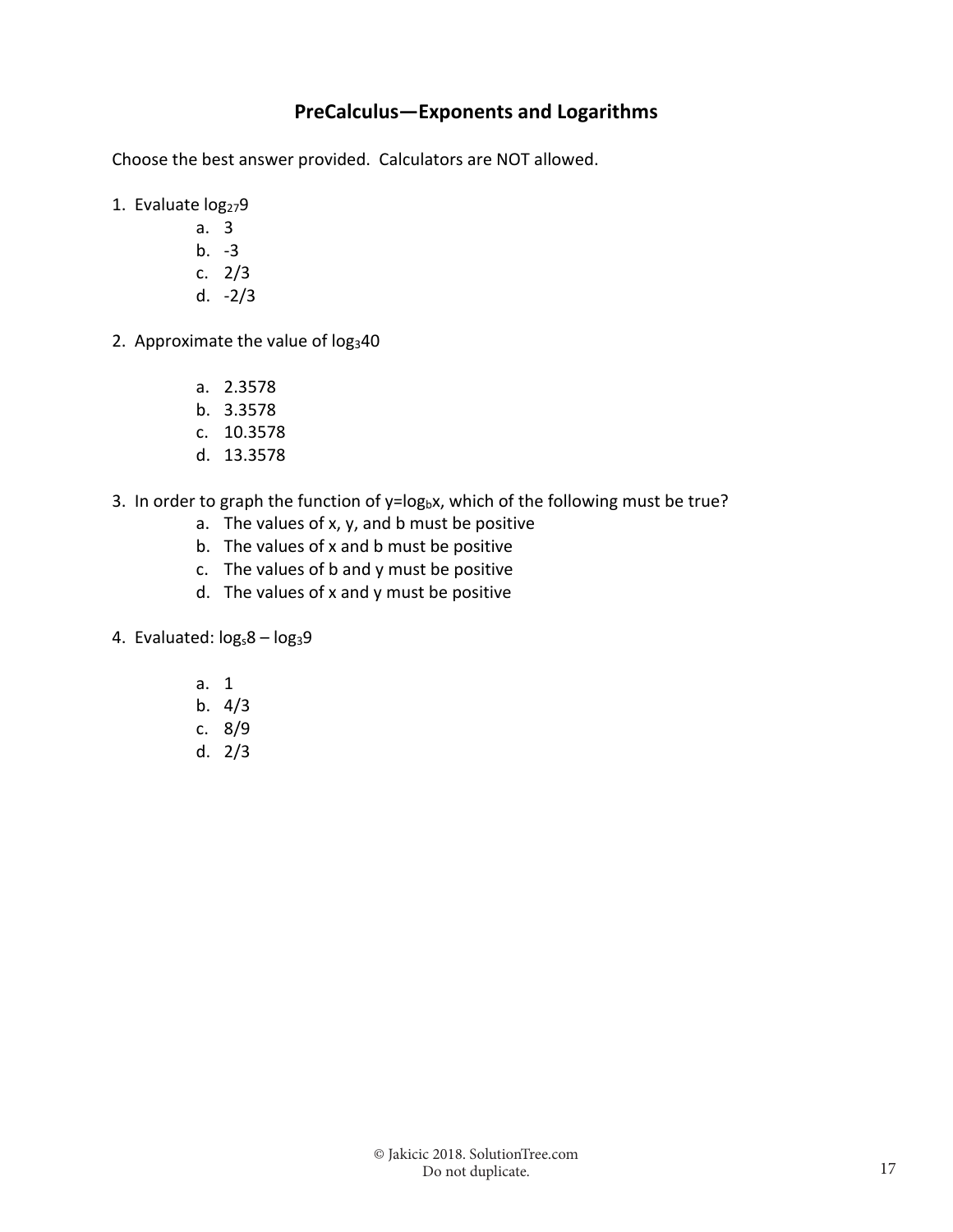### **PreCalculus—Exponents and Logarithms**

Choose the best answer provided. Calculators are NOT allowed.

- 1. Evaluate log<sub>27</sub>9
	- a. 3
	- b.  $-3$ c. 2/3
	- d. ‐2/3
	-
- 2. Approximate the value of  $log<sub>3</sub>40$ 
	- a. 2.3578
	- b. 3.3578
	- c. 10.3578
	- d. 13.3578
- 3. In order to graph the function of  $y = log_b x$ , which of the following must be true?
	- a. The values of x, y, and b must be positive
	- b. The values of x and b must be positive
	- c. The values of b and y must be positive
	- d. The values of x and y must be positive
- 4. Evaluated:  $log_s 8 log_3 9$ 
	- a. 1
	- b. 4/3
	- c. 8/9
	- d. 2/3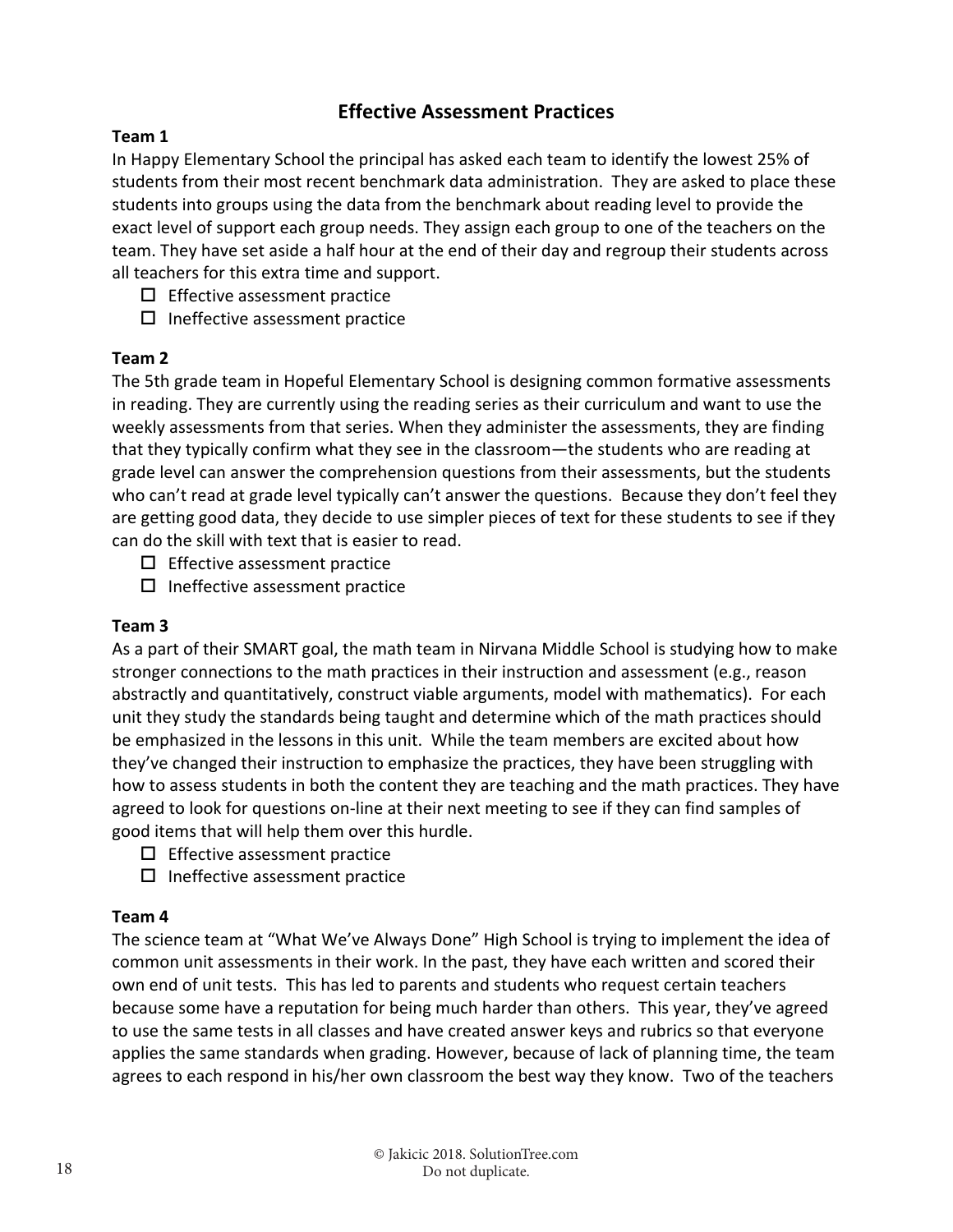#### **Effective Assessment Practices**

#### **Team 1**

In Happy Elementary School the principal has asked each team to identify the lowest 25% of students from their most recent benchmark data administration. They are asked to place these students into groups using the data from the benchmark about reading level to provide the exact level of support each group needs. They assign each group to one of the teachers on the team. They have set aside a half hour at the end of their day and regroup their students across all teachers for this extra time and support.

- $\square$  Effective assessment practice
- $\square$  Ineffective assessment practice

#### **Team 2**

The 5th grade team in Hopeful Elementary School is designing common formative assessments in reading. They are currently using the reading series as their curriculum and want to use the weekly assessments from that series. When they administer the assessments, they are finding that they typically confirm what they see in the classroom—the students who are reading at grade level can answer the comprehension questions from their assessments, but the students who can't read at grade level typically can't answer the questions. Because they don't feel they are getting good data, they decide to use simpler pieces of text for these students to see if they can do the skill with text that is easier to read.

 $\square$  Effective assessment practice

 $\square$  Ineffective assessment practice

#### **Team 3**

As a part of their SMART goal, the math team in Nirvana Middle School is studying how to make stronger connections to the math practices in their instruction and assessment (e.g., reason abstractly and quantitatively, construct viable arguments, model with mathematics). For each unit they study the standards being taught and determine which of the math practices should be emphasized in the lessons in this unit. While the team members are excited about how they've changed their instruction to emphasize the practices, they have been struggling with how to assess students in both the content they are teaching and the math practices. They have agreed to look for questions on‐line at their next meeting to see if they can find samples of good items that will help them over this hurdle.

- $\square$  Effective assessment practice
- $\Box$  Ineffective assessment practice

#### **Team 4**

The science team at "What We've Always Done" High School is trying to implement the idea of common unit assessments in their work. In the past, they have each written and scored their own end of unit tests. This has led to parents and students who request certain teachers because some have a reputation for being much harder than others. This year, they've agreed to use the same tests in all classes and have created answer keys and rubrics so that everyone applies the same standards when grading. However, because of lack of planning time, the team agrees to each respond in his/her own classroom the best way they know. Two of the teachers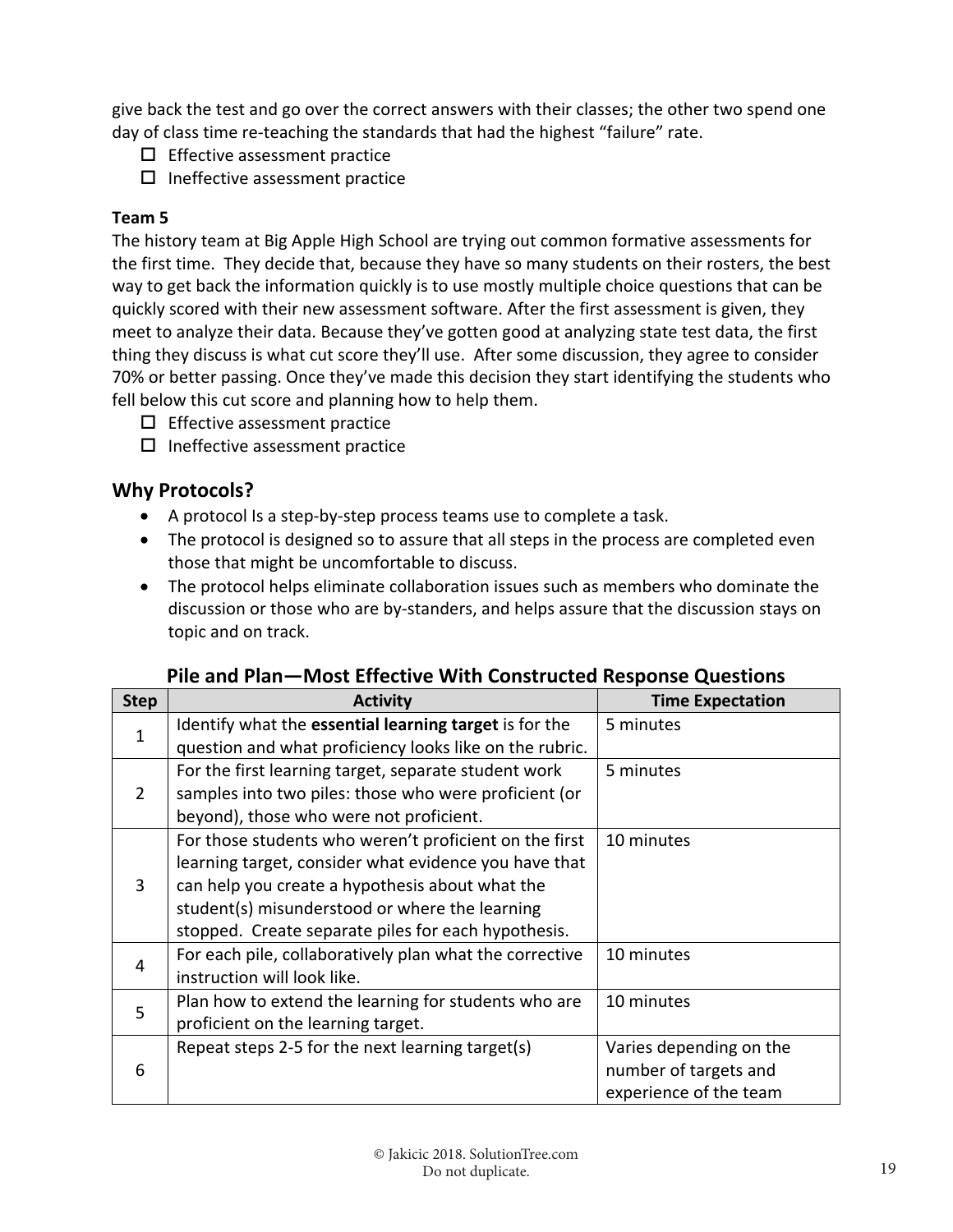give back the test and go over the correct answers with their classes; the other two spend one day of class time re-teaching the standards that had the highest "failure" rate.

- $\square$  Effective assessment practice
- $\square$  Ineffective assessment practice

#### **Team 5**

The history team at Big Apple High School are trying out common formative assessments for the first time. They decide that, because they have so many students on their rosters, the best way to get back the information quickly is to use mostly multiple choice questions that can be quickly scored with their new assessment software. After the first assessment is given, they meet to analyze their data. Because they've gotten good at analyzing state test data, the first thing they discuss is what cut score they'll use. After some discussion, they agree to consider 70% or better passing. Once they've made this decision they start identifying the students who fell below this cut score and planning how to help them.

- $\square$  Effective assessment practice
- $\square$  Ineffective assessment practice

## **Why Protocols?**

- A protocol Is a step-by-step process teams use to complete a task.
- The protocol is designed so to assure that all steps in the process are completed even those that might be uncomfortable to discuss.
- The protocol helps eliminate collaboration issues such as members who dominate the discussion or those who are by‐standers, and helps assure that the discussion stays on topic and on track.

| <b>Step</b>    | <b>Activity</b>                                                                                                                                                                                                                                                             | <b>Time Expectation</b>                                                    |  |
|----------------|-----------------------------------------------------------------------------------------------------------------------------------------------------------------------------------------------------------------------------------------------------------------------------|----------------------------------------------------------------------------|--|
| 1              | Identify what the essential learning target is for the<br>question and what proficiency looks like on the rubric.                                                                                                                                                           | 5 minutes                                                                  |  |
| $\overline{2}$ | For the first learning target, separate student work<br>samples into two piles: those who were proficient (or<br>beyond), those who were not proficient.                                                                                                                    | 5 minutes                                                                  |  |
| 3              | For those students who weren't proficient on the first<br>learning target, consider what evidence you have that<br>can help you create a hypothesis about what the<br>student(s) misunderstood or where the learning<br>stopped. Create separate piles for each hypothesis. | 10 minutes                                                                 |  |
| 4              | For each pile, collaboratively plan what the corrective<br>instruction will look like.                                                                                                                                                                                      | 10 minutes                                                                 |  |
| 5              | Plan how to extend the learning for students who are<br>proficient on the learning target.                                                                                                                                                                                  | 10 minutes                                                                 |  |
| 6              | Repeat steps 2-5 for the next learning target(s)                                                                                                                                                                                                                            | Varies depending on the<br>number of targets and<br>experience of the team |  |

| Pile and Plan-Most Effective With Constructed Response Questions |  |
|------------------------------------------------------------------|--|
|------------------------------------------------------------------|--|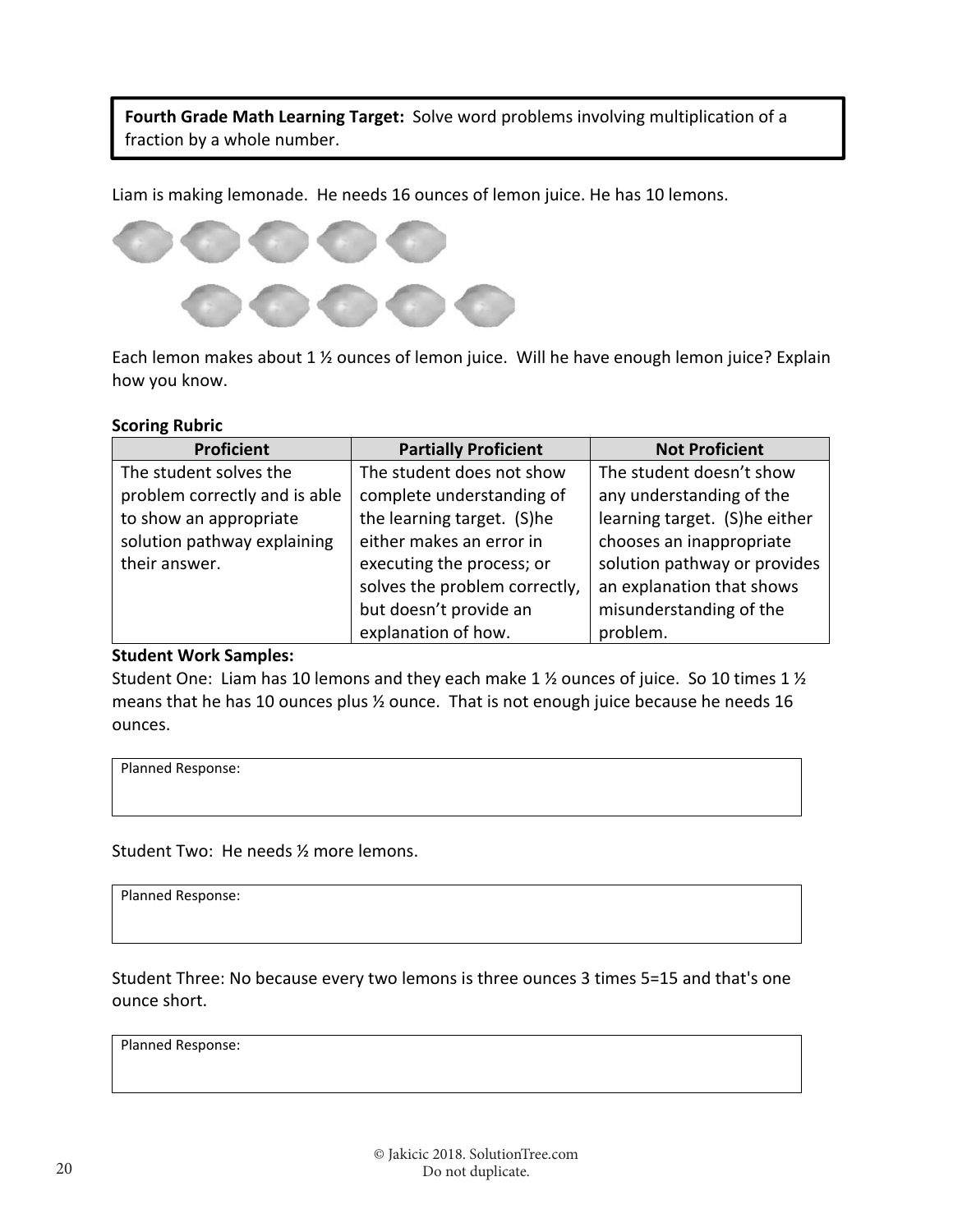Fourth Grade Math Learning Target: Solve word problems involving multiplication of a fraction by a whole number.

Liam is making lemonade. He needs 16 ounces of lemon juice. He has 10 lemons.



Each lemon makes about 1 ½ ounces of lemon juice. Will he have enough lemon juice? Explain how you know.

#### **Scoring Rubric**

| <b>Proficient</b>             | <b>Partially Proficient</b>   | <b>Not Proficient</b>         |
|-------------------------------|-------------------------------|-------------------------------|
| The student solves the        | The student does not show     | The student doesn't show      |
| problem correctly and is able | complete understanding of     | any understanding of the      |
| to show an appropriate        | the learning target. (S)he    | learning target. (S)he either |
| solution pathway explaining   | either makes an error in      | chooses an inappropriate      |
| their answer.                 | executing the process; or     | solution pathway or provides  |
|                               | solves the problem correctly, | an explanation that shows     |
|                               | but doesn't provide an        | misunderstanding of the       |
|                               | explanation of how.           | problem.                      |

#### **Student Work Samples:**

Student One: Liam has 10 lemons and they each make 1 ½ ounces of juice. So 10 times 1 ½ means that he has 10 ounces plus ½ ounce. That is not enough juice because he needs 16 ounces.

Planned Response:

Student Two: He needs ½ more lemons.

Planned Response:

Student Three: No because every two lemons is three ounces 3 times 5=15 and that's one ounce short.

Planned Response: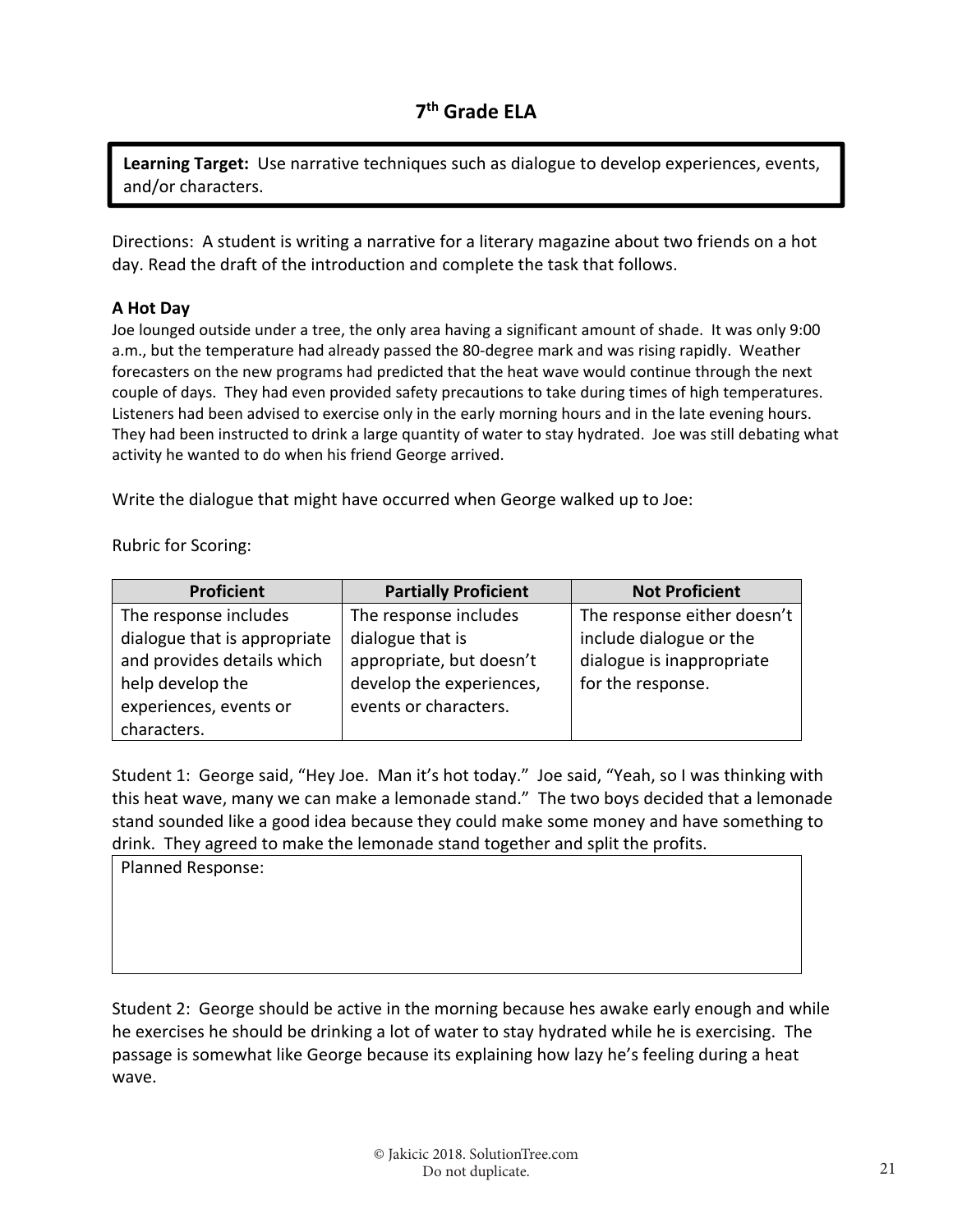**Learning Target:** Use narrative techniques such as dialogue to develop experiences, events, and/or characters.

Directions: A student is writing a narrative for a literary magazine about two friends on a hot day. Read the draft of the introduction and complete the task that follows.

#### **A Hot Day**

Joe lounged outside under a tree, the only area having a significant amount of shade. It was only 9:00 a.m., but the temperature had already passed the 80-degree mark and was rising rapidly. Weather forecasters on the new programs had predicted that the heat wave would continue through the next couple of days. They had even provided safety precautions to take during times of high temperatures. Listeners had been advised to exercise only in the early morning hours and in the late evening hours. They had been instructed to drink a large quantity of water to stay hydrated. Joe was still debating what activity he wanted to do when his friend George arrived.

Write the dialogue that might have occurred when George walked up to Joe:

Rubric for Scoring:

| <b>Proficient</b>            | <b>Partially Proficient</b> | <b>Not Proficient</b>       |
|------------------------------|-----------------------------|-----------------------------|
| The response includes        | The response includes       | The response either doesn't |
| dialogue that is appropriate | dialogue that is            | include dialogue or the     |
| and provides details which   | appropriate, but doesn't    | dialogue is inappropriate   |
| help develop the             | develop the experiences,    | for the response.           |
| experiences, events or       | events or characters.       |                             |
| characters.                  |                             |                             |

Student 1: George said, "Hey Joe. Man it's hot today." Joe said, "Yeah, so I was thinking with this heat wave, many we can make a lemonade stand." The two boys decided that a lemonade stand sounded like a good idea because they could make some money and have something to drink. They agreed to make the lemonade stand together and split the profits.

Planned Response:

Student 2: George should be active in the morning because hes awake early enough and while he exercises he should be drinking a lot of water to stay hydrated while he is exercising. The passage is somewhat like George because its explaining how lazy he's feeling during a heat wave.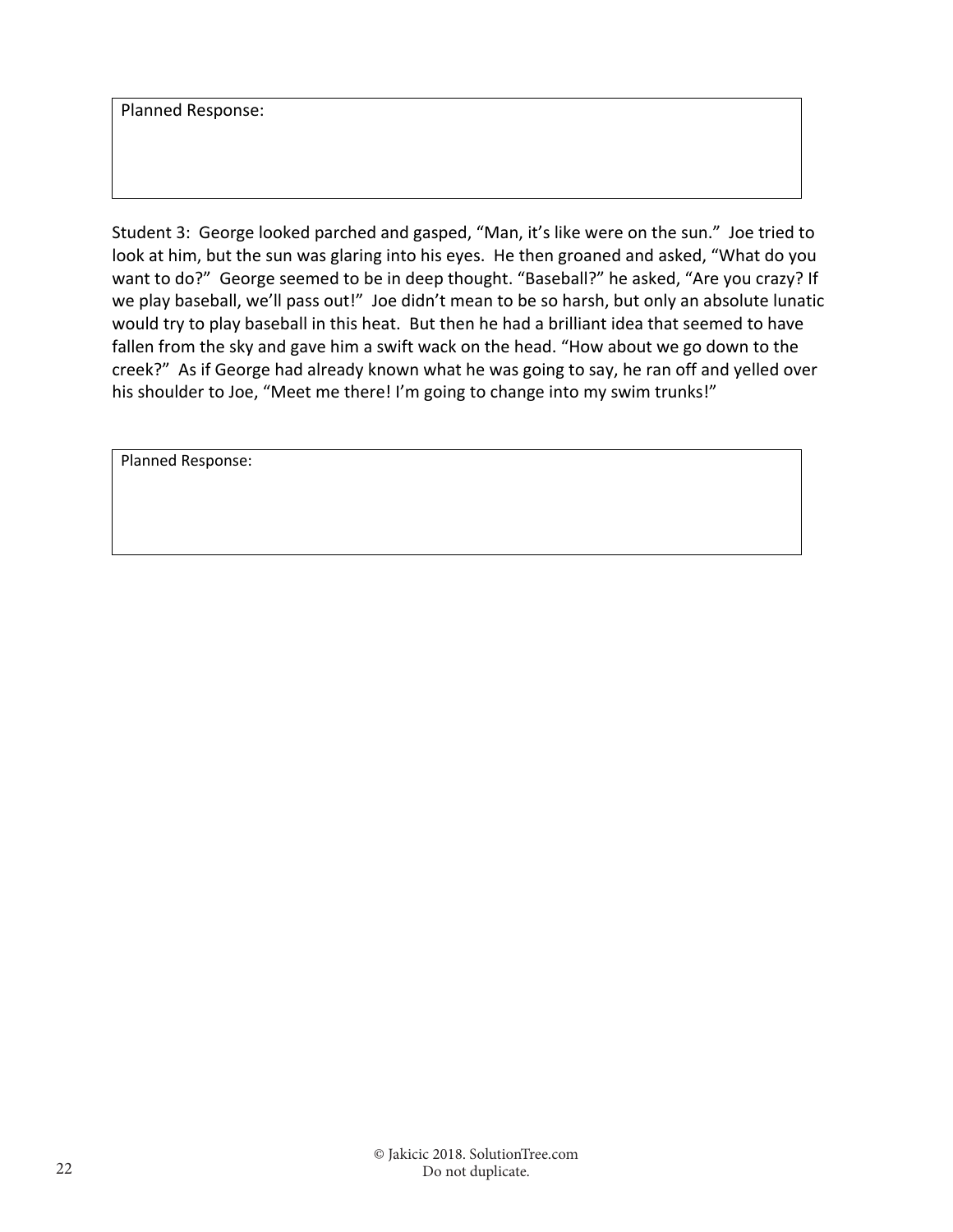Planned Response:

Student 3: George looked parched and gasped, "Man, it's like were on the sun." Joe tried to look at him, but the sun was glaring into his eyes. He then groaned and asked, "What do you want to do?" George seemed to be in deep thought. "Baseball?" he asked, "Are you crazy? If we play baseball, we'll pass out!" Joe didn't mean to be so harsh, but only an absolute lunatic would try to play baseball in this heat. But then he had a brilliant idea that seemed to have fallen from the sky and gave him a swift wack on the head. "How about we go down to the creek?" As if George had already known what he was going to say, he ran off and yelled over his shoulder to Joe, "Meet me there! I'm going to change into my swim trunks!"

Planned Response: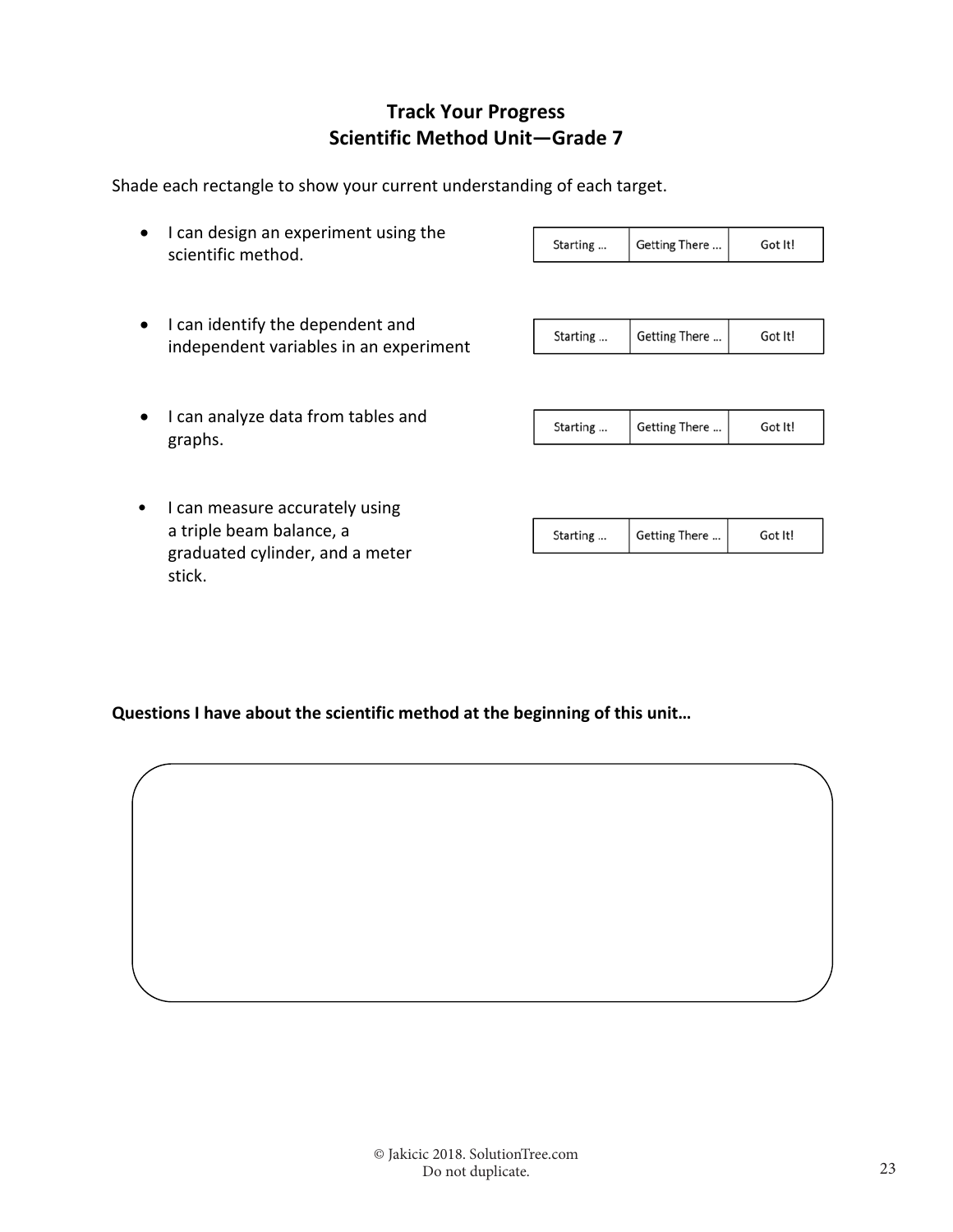## **Track Your Progress Scientific Method Unit—Grade 7**

Shade each rectangle to show your current understanding of each target.

| • I can design an experiment using the | Starting | Getting There | Got It! |
|----------------------------------------|----------|---------------|---------|
| scientific method.                     |          |               |         |
|                                        |          |               |         |

• I can identify the dependent and independent variables in an experiment

| Getting There<br>Got It!<br>Starting |
|--------------------------------------|
|--------------------------------------|

• I can analyze data from tables and graphs.

| Starting | Getting There $\vert$ | Got It! |
|----------|-----------------------|---------|
|          |                       |         |

• I can measure accurately using a triple beam balance, a graduated cylinder, and a meter stick.

| Starting | Getting There | Got It! |
|----------|---------------|---------|
|----------|---------------|---------|

**Questions I have about the scientific method at the beginning of this unit…**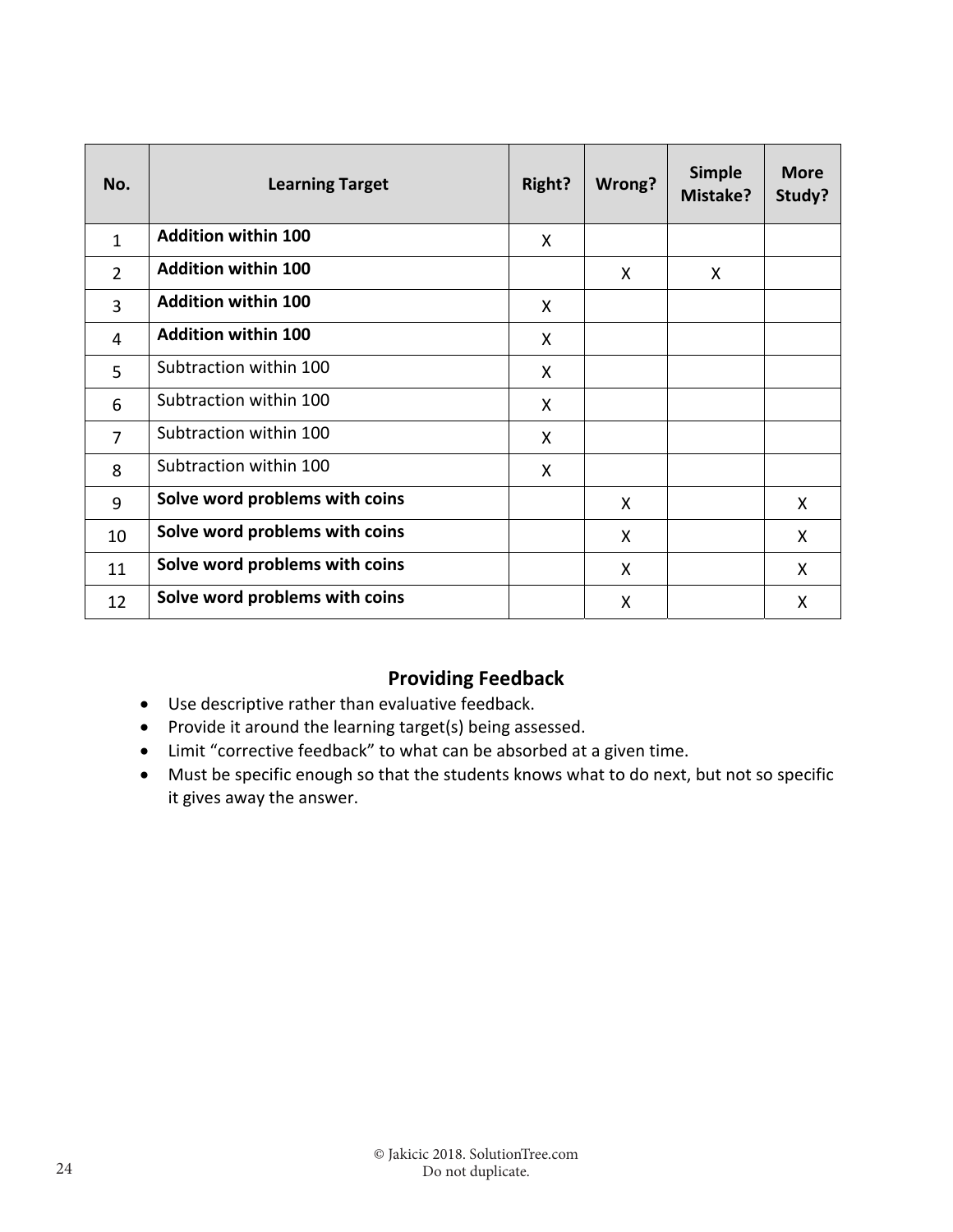| No.            | <b>Learning Target</b>         | Right? | Wrong? | <b>Simple</b><br>Mistake? | <b>More</b><br>Study? |
|----------------|--------------------------------|--------|--------|---------------------------|-----------------------|
| $\mathbf{1}$   | <b>Addition within 100</b>     | X      |        |                           |                       |
| $\overline{2}$ | <b>Addition within 100</b>     |        | X      | X                         |                       |
| 3              | <b>Addition within 100</b>     | X      |        |                           |                       |
| 4              | <b>Addition within 100</b>     | X      |        |                           |                       |
| 5              | Subtraction within 100         | X      |        |                           |                       |
| 6              | Subtraction within 100         | X      |        |                           |                       |
| $\overline{7}$ | Subtraction within 100         | X      |        |                           |                       |
| 8              | Subtraction within 100         | X      |        |                           |                       |
| 9              | Solve word problems with coins |        | X      |                           | X                     |
| 10             | Solve word problems with coins |        | X      |                           | X.                    |
| 11             | Solve word problems with coins |        | X      |                           | X                     |
| 12             | Solve word problems with coins |        | X      |                           | X                     |

## **Providing Feedback**

- Use descriptive rather than evaluative feedback.
- Provide it around the learning target(s) being assessed.
- Limit "corrective feedback" to what can be absorbed at a given time.
- Must be specific enough so that the students knows what to do next, but not so specific it gives away the answer.